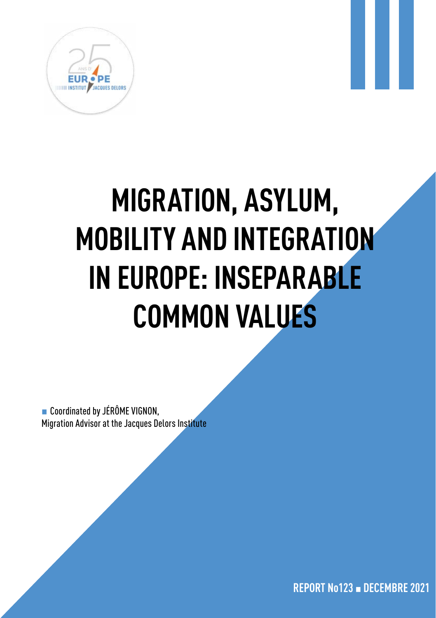

# **MIGRATION, ASYLUM, MOBILITY AND INTEGRATION IN EUROPE: INSEPARABLE COMMON VALUES**

■ Coordinated by JÉRÔME VIGNON, Migration Advisor at the Jacques Delors Institute

**REPORT No123** ▪ **DECEMBRE 2021**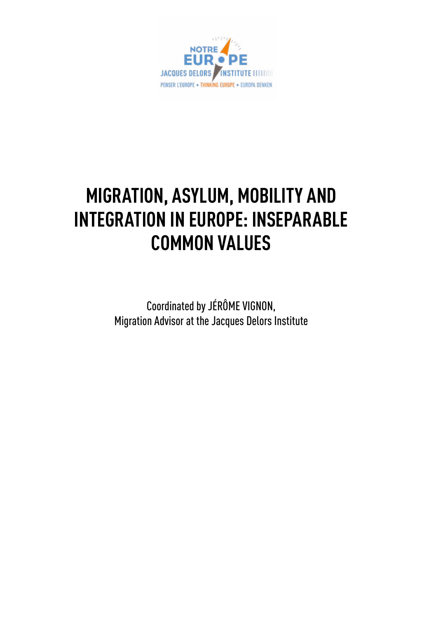

# **MIGRATION, ASYLUM, MOBILITY AND INTEGRATION IN EUROPE: INSEPARABLE COMMON VALUES**

Coordinated by JÉRÔME VIGNON, Migration Advisor at the Jacques Delors Institute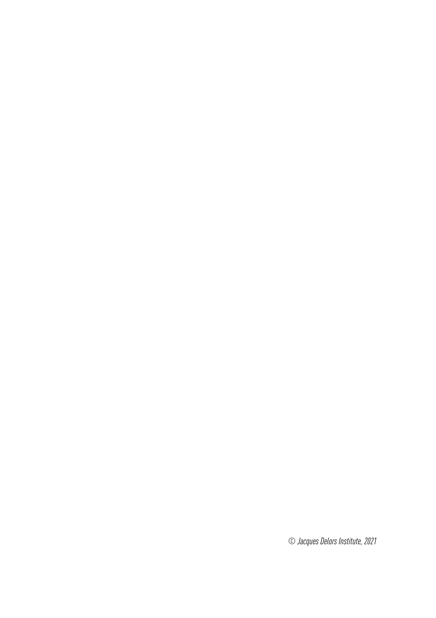*© Jacques Delors Institute, 2021*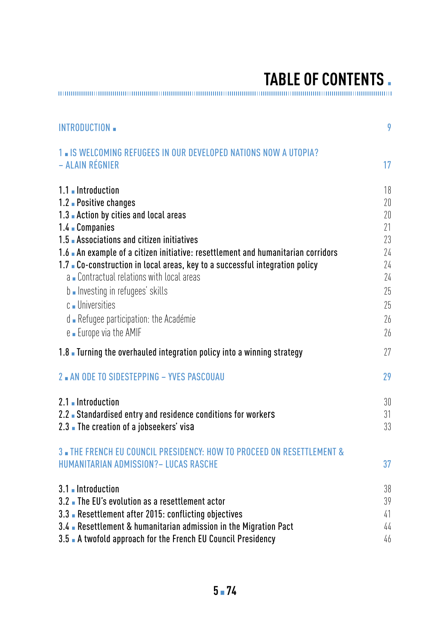# **TABLE OF CONTENTS.**

| INTRODUCTION -                                                                   | 9  |
|----------------------------------------------------------------------------------|----|
| 1 . IS WELCOMING REFUGEES IN OUR DEVELOPED NATIONS NOW A UTOPIA?                 |    |
| – ALAIN RÉGNIER                                                                  | 17 |
| 1.1 Introduction                                                                 | 18 |
| 1.2 Positive changes                                                             | 20 |
| 1.3 Action by cities and local areas                                             | 20 |
| 1.4 Companies                                                                    | 21 |
| 1.5 Associations and citizen initiatives                                         | 23 |
| 1.6 An example of a citizen initiative: resettlement and humanitarian corridors  | 24 |
| 1.7 Co-construction in local areas, key to a successful integration policy       | 24 |
| a - Contractual relations with local areas                                       | 24 |
| b - Investing in refugees skills                                                 | 25 |
| c Universities                                                                   | 25 |
| d - Refugee participation: the Académie                                          | 26 |
| e - Europe via the AMIF                                                          | 26 |
| 1.8 Turning the overhauled integration policy into a winning strategy            | 27 |
| 2 AN ODE TO SIDESTEPPING - YVES PASCOUAU                                         | 29 |
| 2.1 Introduction                                                                 | 30 |
| 2.2 Standardised entry and residence conditions for workers                      | 31 |
| 2.3 The creation of a jobseekers' visa                                           | 33 |
| <b>3. THE FRENCH EU COUNCIL PRESIDENCY: HOW TO PROCEED ON RESETTLEMENT &amp;</b> |    |
| HUMANITARIAN ADMISSION? - LUCAS RASCHE                                           | 37 |
| 3.1 Introduction                                                                 | 38 |
| 3.2 The EU's evolution as a resettlement actor                                   | 39 |
| 3.3 Resettlement after 2015: conflicting objectives                              | 41 |
| 3.4 Resettlement & humanitarian admission in the Migration Pact                  | 44 |
| 3.5 A twofold approach for the French EU Council Presidency                      | 46 |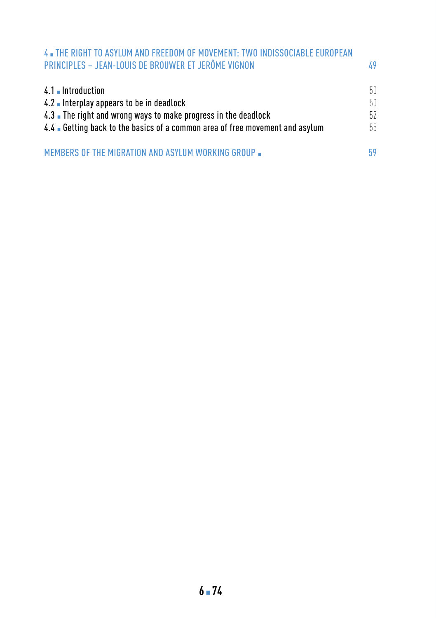| 4 THE RIGHT TO ASYLUM AND FREEDOM OF MOVEMENT: TWO INDISSOCIABLE EUROPEAN<br>PRINCIPLES - JEAN-LOUIS DE BROUWER ET JERÔME VIGNON                                                                            | 49                     |
|-------------------------------------------------------------------------------------------------------------------------------------------------------------------------------------------------------------|------------------------|
| 4.1 Introduction<br>4.2 Interplay appears to be in deadlock<br>4.3 The right and wrong ways to make progress in the deadlock<br>4.4 Getting back to the basics of a common area of free movement and asylum | 50.<br>50.<br>52<br>55 |
| MEMBERS OF THE MIGRATION AND ASYLUM WORKING GROUP .                                                                                                                                                         | 59                     |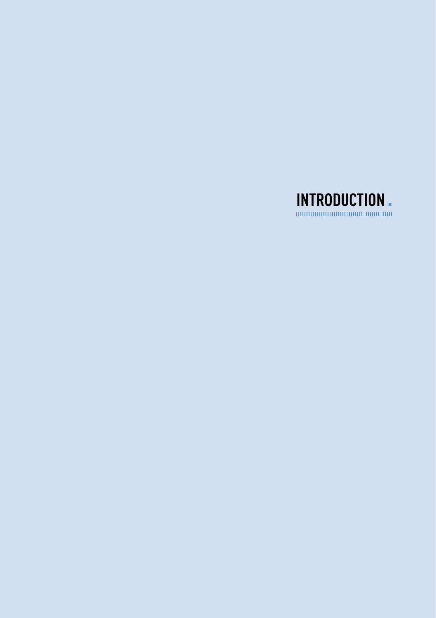<span id="page-8-0"></span>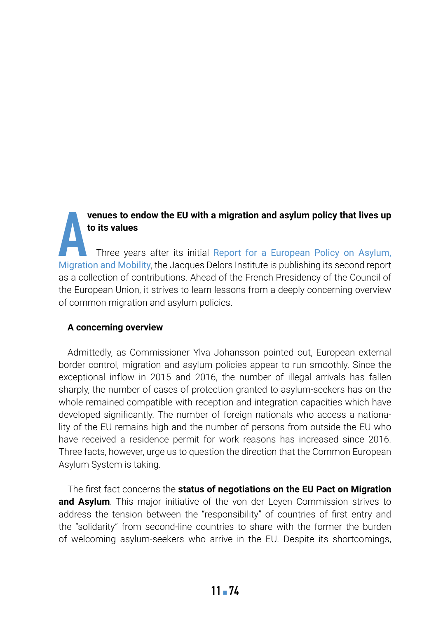#### **venues to endow the EU with a migration and asylum policy that lives up to its values**

**A** [Migration and Mobility](https://institutdelors.eu/en/publications/for-a-european-policy-on-asylum-migration-and-mobility/), the Jacques Delors Institute is publishing its second report Three years after its initial Report for a European Policy on Asylum, as a collection of contributions. Ahead of the French Presidency of the Council of the European Union, it strives to learn lessons from a deeply concerning overview of common migration and asylum policies.

#### **A concerning overview**

Admittedly, as Commissioner Ylva Johansson pointed out, European external border control, migration and asylum policies appear to run smoothly. Since the exceptional inflow in 2015 and 2016, the number of illegal arrivals has fallen sharply, the number of cases of protection granted to asylum-seekers has on the whole remained compatible with reception and integration capacities which have developed significantly. The number of foreign nationals who access a nationality of the EU remains high and the number of persons from outside the EU who have received a residence permit for work reasons has increased since 2016. Three facts, however, urge us to question the direction that the Common European Asylum System is taking.

The first fact concerns the **status of negotiations on the EU Pact on Migration**  and Asylum. This major initiative of the von der Leyen Commission strives to address the tension between the "responsibility" of countries of first entry and the "solidarity" from second-line countries to share with the former the burden of welcoming asylum-seekers who arrive in the EU. Despite its shortcomings,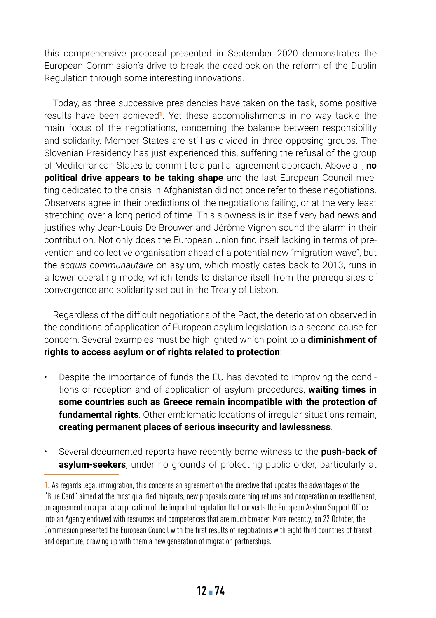this comprehensive proposal presented in September 2020 demonstrates the European Commission's drive to break the deadlock on the reform of the Dublin Regulation through some interesting innovations.

Today, as three successive presidencies have taken on the task, some positive results have been achieved**<sup>1</sup>**. Yet these accomplishments in no way tackle the main focus of the negotiations, concerning the balance between responsibility and solidarity. Member States are still as divided in three opposing groups. The Slovenian Presidency has just experienced this, suffering the refusal of the group of Mediterranean States to commit to a partial agreement approach. Above all, **no political drive appears to be taking shape** and the last European Council meeting dedicated to the crisis in Afghanistan did not once refer to these negotiations. Observers agree in their predictions of the negotiations failing, or at the very least stretching over a long period of time. This slowness is in itself very bad news and justifies why Jean-Louis De Brouwer and Jérôme Vignon sound the alarm in their contribution. Not only does the European Union find itself lacking in terms of prevention and collective organisation ahead of a potential new "migration wave", but the *acquis communautaire* on asylum, which mostly dates back to 2013, runs in a lower operating mode, which tends to distance itself from the prerequisites of convergence and solidarity set out in the Treaty of Lisbon.

Regardless of the difficult negotiations of the Pact, the deterioration observed in the conditions of application of European asylum legislation is a second cause for concern. Several examples must be highlighted which point to a **diminishment of rights to access asylum or of rights related to protection**:

- Despite the importance of funds the EU has devoted to improving the conditions of reception and of application of asylum procedures, **waiting times in some countries such as Greece remain incompatible with the protection of fundamental rights**. Other emblematic locations of irregular situations remain, **creating permanent places of serious insecurity and lawlessness**.
- Several documented reports have recently borne witness to the **push-back of asylum-seekers**, under no grounds of protecting public order, particularly at

**<sup>1.</sup>** As regards legal immigration, this concerns an agreement on the directive that updates the advantages of the "Blue Card" aimed at the most qualified migrants, new proposals concerning returns and cooperation on resettlement, an agreement on a partial application of the important regulation that converts the European Asylum Support Office into an Agency endowed with resources and competences that are much broader. More recently, on 22 October, the Commission presented the European Council with the first results of negotiations with eight third countries of transit and departure, drawing up with them a new generation of migration partnerships.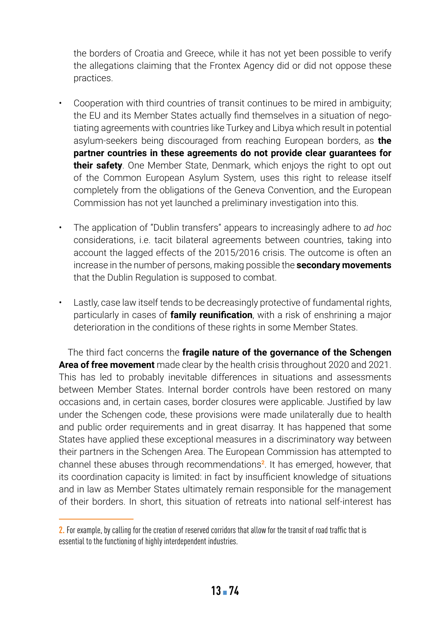the borders of Croatia and Greece, while it has not yet been possible to verify the allegations claiming that the Frontex Agency did or did not oppose these practices.

- Cooperation with third countries of transit continues to be mired in ambiguity; the EU and its Member States actually find themselves in a situation of negotiating agreements with countries like Turkey and Libya which result in potential asylum-seekers being discouraged from reaching European borders, as **the partner countries in these agreements do not provide clear guarantees for their safety**. One Member State, Denmark, which enjoys the right to opt out of the Common European Asylum System, uses this right to release itself completely from the obligations of the Geneva Convention, and the European Commission has not yet launched a preliminary investigation into this.
- The application of "Dublin transfers" appears to increasingly adhere to *ad hoc*  considerations, i.e. tacit bilateral agreements between countries, taking into account the lagged effects of the 2015/2016 crisis. The outcome is often an increase in the number of persons, making possible the **secondary movements**  that the Dublin Regulation is supposed to combat.
- Lastly, case law itself tends to be decreasingly protective of fundamental rights, particularly in cases of **family reunification**, with a risk of enshrining a major deterioration in the conditions of these rights in some Member States.

The third fact concerns the **fragile nature of the governance of the Schengen Area of free movement** made clear by the health crisis throughout 2020 and 2021. This has led to probably inevitable differences in situations and assessments between Member States. Internal border controls have been restored on many occasions and, in certain cases, border closures were applicable. Justified by law under the Schengen code, these provisions were made unilaterally due to health and public order requirements and in great disarray. It has happened that some States have applied these exceptional measures in a discriminatory way between their partners in the Schengen Area. The European Commission has attempted to channel these abuses through recommendations**<sup>2</sup>**. It has emerged, however, that its coordination capacity is limited: in fact by insufficient knowledge of situations and in law as Member States ultimately remain responsible for the management of their borders. In short, this situation of retreats into national self-interest has

**<sup>2.</sup>** For example, by calling for the creation of reserved corridors that allow for the transit of road traffic that is essential to the functioning of highly interdependent industries.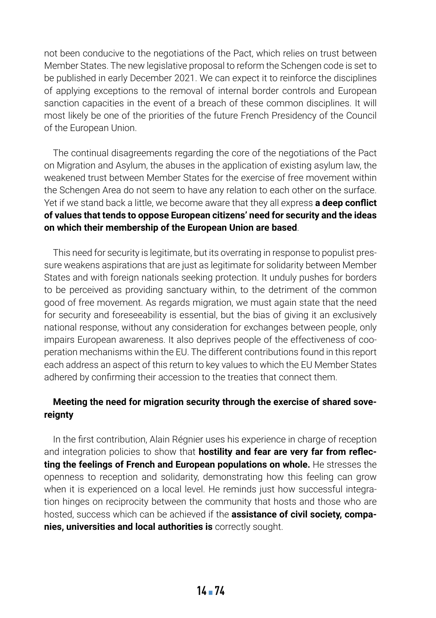not been conducive to the negotiations of the Pact, which relies on trust between Member States. The new legislative proposal to reform the Schengen code is set to be published in early December 2021. We can expect it to reinforce the disciplines of applying exceptions to the removal of internal border controls and European sanction capacities in the event of a breach of these common disciplines. It will most likely be one of the priorities of the future French Presidency of the Council of the European Union.

The continual disagreements regarding the core of the negotiations of the Pact on Migration and Asylum, the abuses in the application of existing asylum law, the weakened trust between Member States for the exercise of free movement within the Schengen Area do not seem to have any relation to each other on the surface. Yet if we stand back a little, we become aware that they all express **a deep conflict of values that tends to oppose European citizens' need for security and the ideas on which their membership of the European Union are based**.

This need for security is legitimate, but its overrating in response to populist pressure weakens aspirations that are just as legitimate for solidarity between Member States and with foreign nationals seeking protection. It unduly pushes for borders to be perceived as providing sanctuary within, to the detriment of the common good of free movement. As regards migration, we must again state that the need for security and foreseeability is essential, but the bias of giving it an exclusively national response, without any consideration for exchanges between people, only impairs European awareness. It also deprives people of the effectiveness of cooperation mechanisms within the EU. The different contributions found in this report each address an aspect of this return to key values to which the EU Member States adhered by confirming their accession to the treaties that connect them.

#### **Meeting the need for migration security through the exercise of shared sovereignty**

In the first contribution, Alain Régnier uses his experience in charge of reception and integration policies to show that **hostility and fear are very far from reflecting the feelings of French and European populations on whole.** He stresses the openness to reception and solidarity, demonstrating how this feeling can grow when it is experienced on a local level. He reminds just how successful integration hinges on reciprocity between the community that hosts and those who are hosted, success which can be achieved if the **assistance of civil society, companies, universities and local authorities is** correctly sought.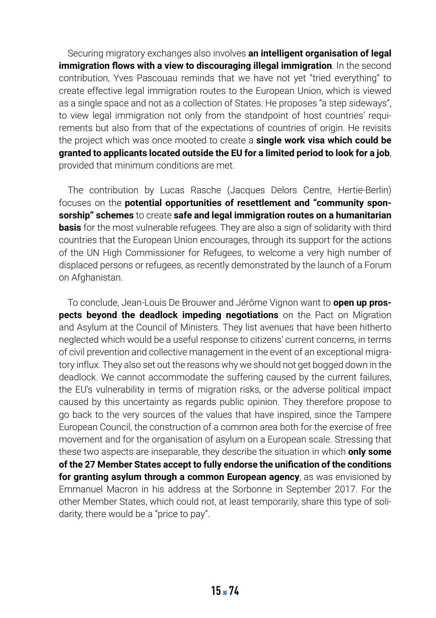Securing migratory exchanges also involves **an intelligent organisation of legal immigration flows with a view to discouraging illegal immigration**. In the second contribution, Yves Pascouau reminds that we have not yet "tried everything" to create effective legal immigration routes to the European Union, which is viewed as a single space and not as a collection of States. He proposes "a step sideways", to view legal immigration not only from the standpoint of host countries' requirements but also from that of the expectations of countries of origin. He revisits the project which was once mooted to create a **single work visa which could be granted to applicants located outside the EU for a limited period to look for a job**, provided that minimum conditions are met.

The contribution by Lucas Rasche (Jacques Delors Centre, Hertie-Berlin) focuses on the **potential opportunities of resettlement and "community sponsorship" schemes** to create **safe and legal immigration routes on a humanitarian basis** for the most vulnerable refugees. They are also a sign of solidarity with third countries that the European Union encourages, through its support for the actions of the UN High Commissioner for Refugees, to welcome a very high number of displaced persons or refugees, as recently demonstrated by the launch of a Forum on Afghanistan.

To conclude, Jean-Louis De Brouwer and Jérôme Vignon want to **open up prospects beyond the deadlock impeding negotiations** on the Pact on Migration and Asylum at the Council of Ministers. They list avenues that have been hitherto neglected which would be a useful response to citizens' current concerns, in terms of civil prevention and collective management in the event of an exceptional migratory influx. They also set out the reasons why we should not get bogged down in the deadlock. We cannot accommodate the suffering caused by the current failures, the EU's vulnerability in terms of migration risks, or the adverse political impact caused by this uncertainty as regards public opinion. They therefore propose to go back to the very sources of the values that have inspired, since the Tampere European Council, the construction of a common area both for the exercise of free movement and for the organisation of asylum on a European scale. Stressing that these two aspects are inseparable, they describe the situation in which **only some of the 27 Member States accept to fully endorse the unification of the conditions for granting asylum through a common European agency**, as was envisioned by Emmanuel Macron in his address at the Sorbonne in September 2017. For the other Member States, which could not, at least temporarily, share this type of solidarity, there would be a "price to pay".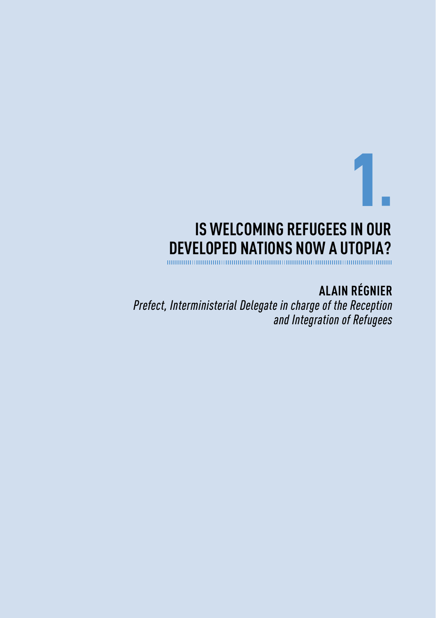# **IS WELCOMING REFUGEES IN OUR DEVELOPED NATIONS NOW A UTOPIA?**

**ALAIN RÉGNIER**

1▪

*Prefect, Interministerial Delegate in charge of the Reception and Integration of Refugees*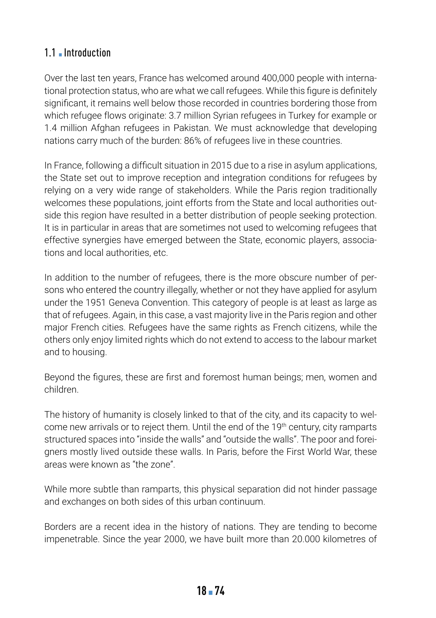## 1.1 **Introduction**

Over the last ten years, France has welcomed around 400,000 people with international protection status, who are what we call refugees. While this figure is definitely significant, it remains well below those recorded in countries bordering those from which refugee flows originate: 3.7 million Syrian refugees in Turkey for example or 1.4 million Afghan refugees in Pakistan. We must acknowledge that developing nations carry much of the burden: 86% of refugees live in these countries.

In France, following a difficult situation in 2015 due to a rise in asylum applications, the State set out to improve reception and integration conditions for refugees by relying on a very wide range of stakeholders. While the Paris region traditionally welcomes these populations, joint efforts from the State and local authorities outside this region have resulted in a better distribution of people seeking protection. It is in particular in areas that are sometimes not used to welcoming refugees that effective synergies have emerged between the State, economic players, associations and local authorities, etc.

In addition to the number of refugees, there is the more obscure number of persons who entered the country illegally, whether or not they have applied for asylum under the 1951 Geneva Convention. This category of people is at least as large as that of refugees. Again, in this case, a vast majority live in the Paris region and other major French cities. Refugees have the same rights as French citizens, while the others only enjoy limited rights which do not extend to access to the labour market and to housing.

Beyond the figures, these are first and foremost human beings; men, women and children.

The history of humanity is closely linked to that of the city, and its capacity to welcome new arrivals or to reject them. Until the end of the 19<sup>th</sup> century, city ramparts structured spaces into "inside the walls" and "outside the walls". The poor and foreigners mostly lived outside these walls. In Paris, before the First World War, these areas were known as "the zone".

While more subtle than ramparts, this physical separation did not hinder passage and exchanges on both sides of this urban continuum.

Borders are a recent idea in the history of nations. They are tending to become impenetrable. Since the year 2000, we have built more than 20.000 kilometres of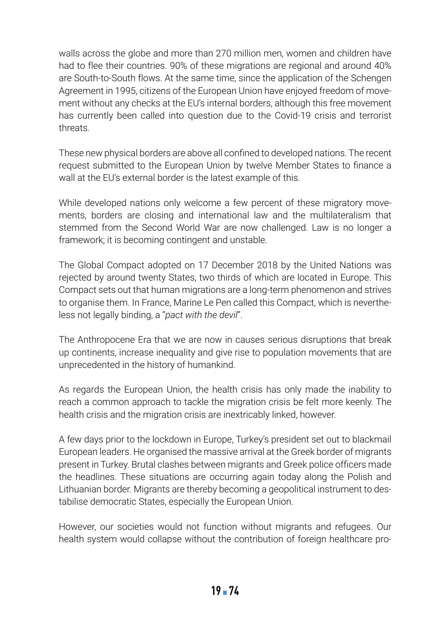walls across the globe and more than 270 million men, women and children have had to flee their countries. 90% of these migrations are regional and around 40% are South-to-South flows. At the same time, since the application of the Schengen Agreement in 1995, citizens of the European Union have enjoyed freedom of movement without any checks at the EU's internal borders, although this free movement has currently been called into question due to the Covid-19 crisis and terrorist threats.

These new physical borders are above all confined to developed nations. The recent request submitted to the European Union by twelve Member States to finance a wall at the EU's external border is the latest example of this.

While developed nations only welcome a few percent of these migratory movements, borders are closing and international law and the multilateralism that stemmed from the Second World War are now challenged. Law is no longer a framework; it is becoming contingent and unstable.

The Global Compact adopted on 17 December 2018 by the United Nations was rejected by around twenty States, two thirds of which are located in Europe. This Compact sets out that human migrations are a long-term phenomenon and strives to organise them. In France, Marine Le Pen called this Compact, which is nevertheless not legally binding, a "*pact with the devil*".

The Anthropocene Era that we are now in causes serious disruptions that break up continents, increase inequality and give rise to population movements that are unprecedented in the history of humankind.

As regards the European Union, the health crisis has only made the inability to reach a common approach to tackle the migration crisis be felt more keenly. The health crisis and the migration crisis are inextricably linked, however.

A few days prior to the lockdown in Europe, Turkey's president set out to blackmail European leaders. He organised the massive arrival at the Greek border of migrants present in Turkey. Brutal clashes between migrants and Greek police officers made the headlines. These situations are occurring again today along the Polish and Lithuanian border. Migrants are thereby becoming a geopolitical instrument to destabilise democratic States, especially the European Union.

However, our societies would not function without migrants and refugees. Our health system would collapse without the contribution of foreign healthcare pro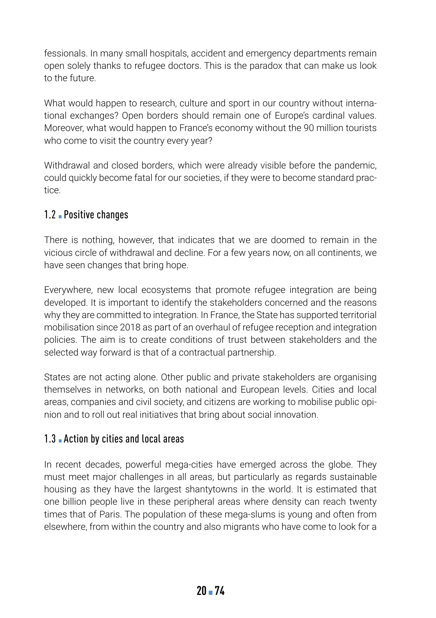fessionals. In many small hospitals, accident and emergency departments remain open solely thanks to refugee doctors. This is the paradox that can make us look to the future.

What would happen to research, culture and sport in our country without international exchanges? Open borders should remain one of Europe's cardinal values. Moreover, what would happen to France's economy without the 90 million tourists who come to visit the country every year?

Withdrawal and closed borders, which were already visible before the pandemic, could quickly become fatal for our societies, if they were to become standard practice.

#### 1.2 **Positive changes**

There is nothing, however, that indicates that we are doomed to remain in the vicious circle of withdrawal and decline. For a few years now, on all continents, we have seen changes that bring hope.

Everywhere, new local ecosystems that promote refugee integration are being developed. It is important to identify the stakeholders concerned and the reasons why they are committed to integration. In France, the State has supported territorial mobilisation since 2018 as part of an overhaul of refugee reception and integration policies. The aim is to create conditions of trust between stakeholders and the selected way forward is that of a contractual partnership.

States are not acting alone. Other public and private stakeholders are organising themselves in networks, on both national and European levels. Cities and local areas, companies and civil society, and citizens are working to mobilise public opinion and to roll out real initiatives that bring about social innovation.

#### 1.3 Action by cities and local areas

In recent decades, powerful mega-cities have emerged across the globe. They must meet major challenges in all areas, but particularly as regards sustainable housing as they have the largest shantytowns in the world. It is estimated that one billion people live in these peripheral areas where density can reach twenty times that of Paris. The population of these mega-slums is young and often from elsewhere, from within the country and also migrants who have come to look for a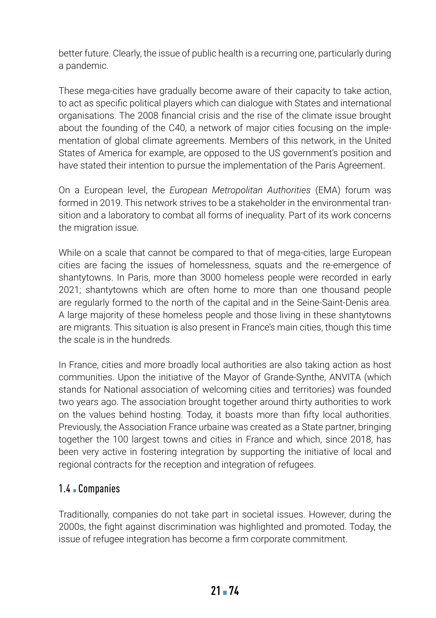better future. Clearly, the issue of public health is a recurring one, particularly during a pandemic.

These mega-cities have gradually become aware of their capacity to take action, to act as specific political players which can dialogue with States and international organisations. The 2008 financial crisis and the rise of the climate issue brought about the founding of the C40, a network of major cities focusing on the implementation of global climate agreements. Members of this network, in the United States of America for example, are opposed to the US government's position and have stated their intention to pursue the implementation of the Paris Agreement.

On a European level, the *European Metropolitan Authorities* (EMA) forum was formed in 2019. This network strives to be a stakeholder in the environmental transition and a laboratory to combat all forms of inequality. Part of its work concerns the migration issue.

While on a scale that cannot be compared to that of mega-cities, large European cities are facing the issues of homelessness, squats and the re-emergence of shantytowns. In Paris, more than 3000 homeless people were recorded in early 2021; shantytowns which are often home to more than one thousand people are regularly formed to the north of the capital and in the Seine-Saint-Denis area. A large majority of these homeless people and those living in these shantytowns are migrants. This situation is also present in France's main cities, though this time the scale is in the hundreds.

In France, cities and more broadly local authorities are also taking action as host communities. Upon the initiative of the Mayor of Grande-Synthe, ANVITA (which stands for National association of welcoming cities and territories) was founded two years ago. The association brought together around thirty authorities to work on the values behind hosting. Today, it boasts more than fifty local authorities. Previously, the Association France urbaine was created as a State partner, bringing together the 100 largest towns and cities in France and which, since 2018, has been very active in fostering integration by supporting the initiative of local and regional contracts for the reception and integration of refugees.

#### 1.4 ▪ Companies

Traditionally, companies do not take part in societal issues. However, during the 2000s, the fight against discrimination was highlighted and promoted. Today, the issue of refugee integration has become a firm corporate commitment.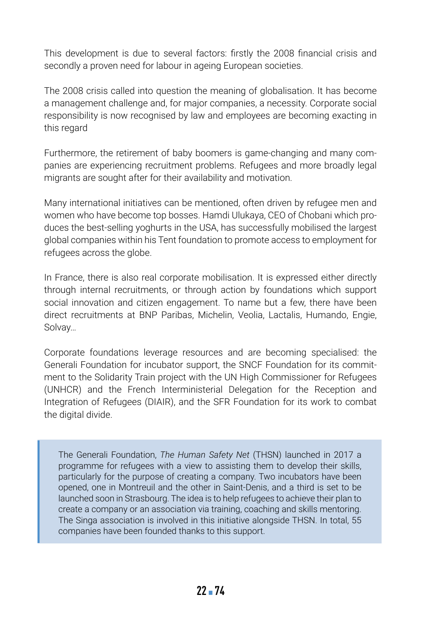This development is due to several factors: firstly the 2008 financial crisis and secondly a proven need for labour in ageing European societies.

The 2008 crisis called into question the meaning of globalisation. It has become a management challenge and, for major companies, a necessity. Corporate social responsibility is now recognised by law and employees are becoming exacting in this regard

Furthermore, the retirement of baby boomers is game-changing and many companies are experiencing recruitment problems. Refugees and more broadly legal migrants are sought after for their availability and motivation.

Many international initiatives can be mentioned, often driven by refugee men and women who have become top bosses. Hamdi Ulukaya, CEO of Chobani which produces the best-selling yoghurts in the USA, has successfully mobilised the largest global companies within his Tent foundation to promote access to employment for refugees across the globe.

In France, there is also real corporate mobilisation. It is expressed either directly through internal recruitments, or through action by foundations which support social innovation and citizen engagement. To name but a few, there have been direct recruitments at BNP Paribas, Michelin, Veolia, Lactalis, Humando, Engie, Solvay…

Corporate foundations leverage resources and are becoming specialised: the Generali Foundation for incubator support, the SNCF Foundation for its commitment to the Solidarity Train project with the UN High Commissioner for Refugees (UNHCR) and the French Interministerial Delegation for the Reception and Integration of Refugees (DIAIR), and the SFR Foundation for its work to combat the digital divide.

The Generali Foundation, *The Human Safety Net* (THSN) launched in 2017 a programme for refugees with a view to assisting them to develop their skills, particularly for the purpose of creating a company. Two incubators have been opened, one in Montreuil and the other in Saint-Denis, and a third is set to be launched soon in Strasbourg. The idea is to help refugees to achieve their plan to create a company or an association via training, coaching and skills mentoring. The Singa association is involved in this initiative alongside THSN. In total, 55 companies have been founded thanks to this support.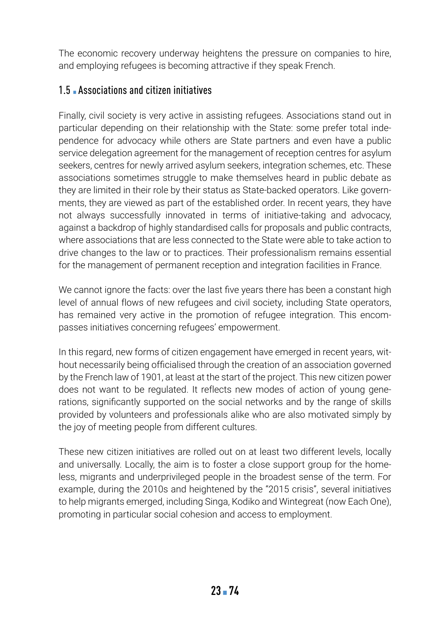The economic recovery underway heightens the pressure on companies to hire, and employing refugees is becoming attractive if they speak French.

### 1.5 Associations and citizen initiatives

Finally, civil society is very active in assisting refugees. Associations stand out in particular depending on their relationship with the State: some prefer total independence for advocacy while others are State partners and even have a public service delegation agreement for the management of reception centres for asylum seekers, centres for newly arrived asylum seekers, integration schemes, etc. These associations sometimes struggle to make themselves heard in public debate as they are limited in their role by their status as State-backed operators. Like governments, they are viewed as part of the established order. In recent years, they have not always successfully innovated in terms of initiative-taking and advocacy, against a backdrop of highly standardised calls for proposals and public contracts, where associations that are less connected to the State were able to take action to drive changes to the law or to practices. Their professionalism remains essential for the management of permanent reception and integration facilities in France.

We cannot ignore the facts: over the last five years there has been a constant high level of annual flows of new refugees and civil society, including State operators, has remained very active in the promotion of refugee integration. This encompasses initiatives concerning refugees' empowerment.

In this regard, new forms of citizen engagement have emerged in recent years, without necessarily being officialised through the creation of an association governed by the French law of 1901, at least at the start of the project. This new citizen power does not want to be regulated. It reflects new modes of action of young generations, significantly supported on the social networks and by the range of skills provided by volunteers and professionals alike who are also motivated simply by the joy of meeting people from different cultures.

These new citizen initiatives are rolled out on at least two different levels, locally and universally. Locally, the aim is to foster a close support group for the homeless, migrants and underprivileged people in the broadest sense of the term. For example, during the 2010s and heightened by the "2015 crisis", several initiatives to help migrants emerged, including Singa, Kodiko and Wintegreat (now Each One), promoting in particular social cohesion and access to employment.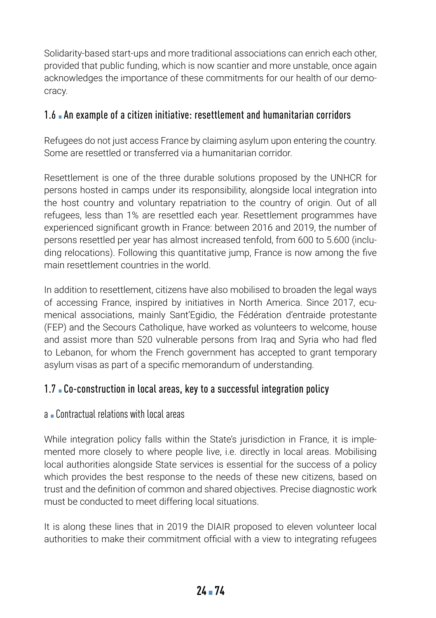Solidarity-based start-ups and more traditional associations can enrich each other, provided that public funding, which is now scantier and more unstable, once again acknowledges the importance of these commitments for our health of our democracy.

### 1.6 ▪ An example of a citizen initiative: resettlement and humanitarian corridors

Refugees do not just access France by claiming asylum upon entering the country. Some are resettled or transferred via a humanitarian corridor.

Resettlement is one of the three durable solutions proposed by the UNHCR for persons hosted in camps under its responsibility, alongside local integration into the host country and voluntary repatriation to the country of origin. Out of all refugees, less than 1% are resettled each year. Resettlement programmes have experienced significant growth in France: between 2016 and 2019, the number of persons resettled per year has almost increased tenfold, from 600 to 5.600 (including relocations). Following this quantitative jump, France is now among the five main resettlement countries in the world.

In addition to resettlement, citizens have also mobilised to broaden the legal ways of accessing France, inspired by initiatives in North America. Since 2017, ecumenical associations, mainly Sant'Egidio, the Fédération d'entraide protestante (FEP) and the Secours Catholique, have worked as volunteers to welcome, house and assist more than 520 vulnerable persons from Iraq and Syria who had fled to Lebanon, for whom the French government has accepted to grant temporary asylum visas as part of a specific memorandum of understanding.

## 1.7 • Co-construction in local areas, key to a successful integration policy

#### a ▪ Contractual relations with local areas

While integration policy falls within the State's jurisdiction in France, it is implemented more closely to where people live, i.e. directly in local areas. Mobilising local authorities alongside State services is essential for the success of a policy which provides the best response to the needs of these new citizens, based on trust and the definition of common and shared objectives. Precise diagnostic work must be conducted to meet differing local situations.

It is along these lines that in 2019 the DIAIR proposed to eleven volunteer local authorities to make their commitment official with a view to integrating refugees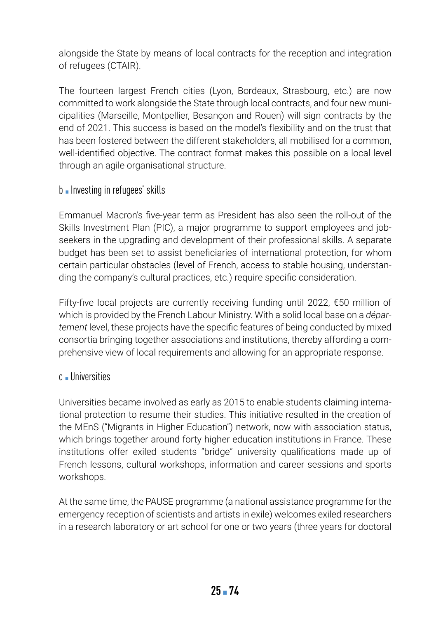alongside the State by means of local contracts for the reception and integration of refugees (CTAIR).

The fourteen largest French cities (Lyon, Bordeaux, Strasbourg, etc.) are now committed to work alongside the State through local contracts, and four new municipalities (Marseille, Montpellier, Besançon and Rouen) will sign contracts by the end of 2021. This success is based on the model's flexibility and on the trust that has been fostered between the different stakeholders, all mobilised for a common, well-identified objective. The contract format makes this possible on a local level through an agile organisational structure.

#### b **.** Investing in refugees' skills

Emmanuel Macron's five-year term as President has also seen the roll-out of the Skills Investment Plan (PIC), a major programme to support employees and jobseekers in the upgrading and development of their professional skills. A separate budget has been set to assist beneficiaries of international protection, for whom certain particular obstacles (level of French, access to stable housing, understanding the company's cultural practices, etc.) require specific consideration.

Fifty-five local projects are currently receiving funding until 2022, €50 million of which is provided by the French Labour Ministry. With a solid local base on a *département* level, these projects have the specific features of being conducted by mixed consortia bringing together associations and institutions, thereby affording a comprehensive view of local requirements and allowing for an appropriate response.

#### c ▪ Universities

Universities became involved as early as 2015 to enable students claiming international protection to resume their studies. This initiative resulted in the creation of the MEnS ("Migrants in Higher Education") network, now with association status, which brings together around forty higher education institutions in France. These institutions offer exiled students "bridge" university qualifications made up of French lessons, cultural workshops, information and career sessions and sports workshops.

At the same time, the PAUSE programme (a national assistance programme for the emergency reception of scientists and artists in exile) welcomes exiled researchers in a research laboratory or art school for one or two years (three years for doctoral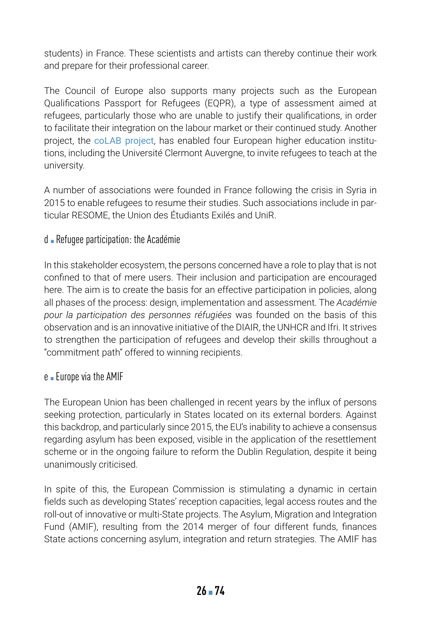students) in France. These scientists and artists can thereby continue their work and prepare for their professional career.

The Council of Europe also supports many projects such as the European Qualifications Passport for Refugees (EQPR), a type of assessment aimed at refugees, particularly those who are unable to justify their qualifications, in order to facilitate their integration on the labour market or their continued study. Another project, the [coLAB project](https://pjp-eu.coe.int/en/web/charter-edc-hre-pilot-projects/colab-a-laboratory-for-new-forms-of-collaboration), has enabled four European higher education institutions, including the Université Clermont Auvergne, to invite refugees to teach at the university.

A number of associations were founded in France following the crisis in Syria in 2015 to enable refugees to resume their studies. Such associations include in particular RESOME, the Union des Étudiants Exilés and UniR.

#### d ▪ Refugee participation: the Académie

In this stakeholder ecosystem, the persons concerned have a role to play that is not confined to that of mere users. Their inclusion and participation are encouraged here. The aim is to create the basis for an effective participation in policies, along all phases of the process: design, implementation and assessment. The *Académie pour la participation des personnes réfugiées* was founded on the basis of this observation and is an innovative initiative of the DIAIR, the UNHCR and Ifri. It strives to strengthen the participation of refugees and develop their skills throughout a "commitment path" offered to winning recipients.

#### e • Europe via the AMIF

The European Union has been challenged in recent years by the influx of persons seeking protection, particularly in States located on its external borders. Against this backdrop, and particularly since 2015, the EU's inability to achieve a consensus regarding asylum has been exposed, visible in the application of the resettlement scheme or in the ongoing failure to reform the Dublin Regulation, despite it being unanimously criticised.

In spite of this, the European Commission is stimulating a dynamic in certain fields such as developing States' reception capacities, legal access routes and the roll-out of innovative or multi-State projects. The Asylum, Migration and Integration Fund (AMIF), resulting from the 2014 merger of four different funds, finances State actions concerning asylum, integration and return strategies. The AMIF has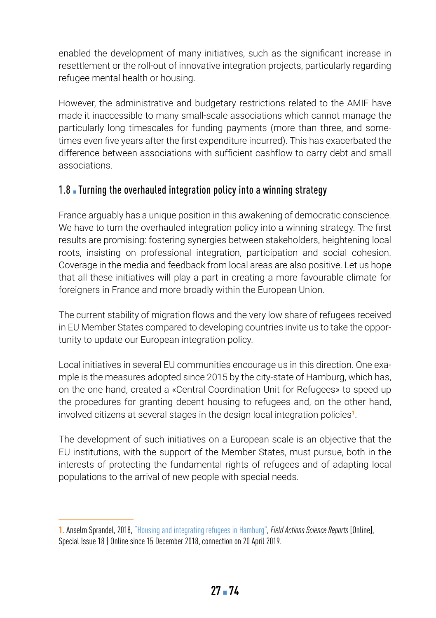enabled the development of many initiatives, such as the significant increase in resettlement or the roll-out of innovative integration projects, particularly regarding refugee mental health or housing.

However, the administrative and budgetary restrictions related to the AMIF have made it inaccessible to many small-scale associations which cannot manage the particularly long timescales for funding payments (more than three, and sometimes even five years after the first expenditure incurred). This has exacerbated the difference between associations with sufficient cashflow to carry debt and small associations.

# 1.8 Turning the overhauled integration policy into a winning strategy

France arguably has a unique position in this awakening of democratic conscience. We have to turn the overhauled integration policy into a winning strategy. The first results are promising: fostering synergies between stakeholders, heightening local roots, insisting on professional integration, participation and social cohesion. Coverage in the media and feedback from local areas are also positive. Let us hope that all these initiatives will play a part in creating a more favourable climate for foreigners in France and more broadly within the European Union.

The current stability of migration flows and the very low share of refugees received in EU Member States compared to developing countries invite us to take the opportunity to update our European integration policy.

Local initiatives in several EU communities encourage us in this direction. One example is the measures adopted since 2015 by the city-state of Hamburg, which has, on the one hand, created a «Central Coordination Unit for Refugees» to speed up the procedures for granting decent housing to refugees and, on the other hand, involved citizens at several stages in the design local integration policies**<sup>1</sup>**.

The development of such initiatives on a European scale is an objective that the EU institutions, with the support of the Member States, must pursue, both in the interests of protecting the fundamental rights of refugees and of adapting local populations to the arrival of new people with special needs.

**<sup>1.</sup>** Anselm Sprandel, 2018, ["Housing and integrating refugees in Hamburg"](https://journals.openedition.org/factsreports/4696), *Field Actions Science Reports* [Online], Special Issue 18 | Online since 15 December 2018, connection on 20 April 2019.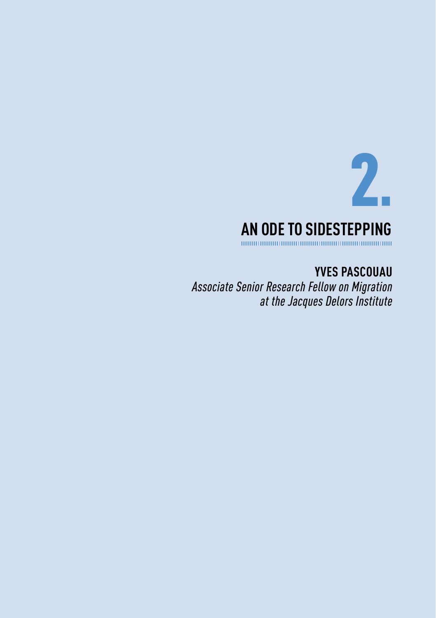

**YVES PASCOUAU** *Associate Senior Research Fellow on Migration at the Jacques Delors Institute*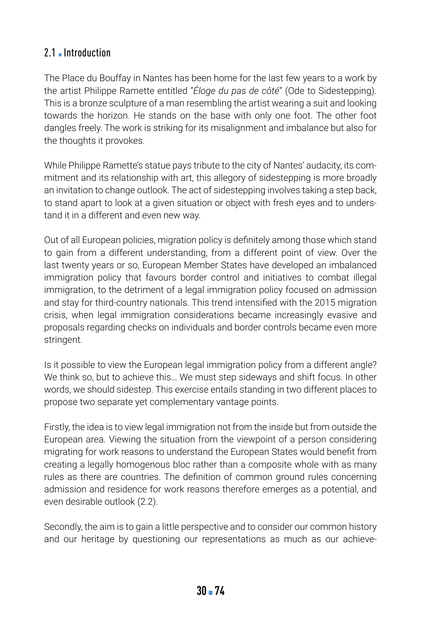### 2.1 **• Introduction**

The Place du Bouffay in Nantes has been home for the last few years to a work by the artist Philippe Ramette entitled "*Éloge du pas de côté*" (Ode to Sidestepping). This is a bronze sculpture of a man resembling the artist wearing a suit and looking towards the horizon. He stands on the base with only one foot. The other foot dangles freely. The work is striking for its misalignment and imbalance but also for the thoughts it provokes.

While Philippe Ramette's statue pays tribute to the city of Nantes' audacity, its commitment and its relationship with art, this allegory of sidestepping is more broadly an invitation to change outlook. The act of sidestepping involves taking a step back, to stand apart to look at a given situation or object with fresh eyes and to understand it in a different and even new way.

Out of all European policies, migration policy is definitely among those which stand to gain from a different understanding, from a different point of view. Over the last twenty years or so, European Member States have developed an imbalanced immigration policy that favours border control and initiatives to combat illegal immigration, to the detriment of a legal immigration policy focused on admission and stay for third-country nationals. This trend intensified with the 2015 migration crisis, when legal immigration considerations became increasingly evasive and proposals regarding checks on individuals and border controls became even more stringent.

Is it possible to view the European legal immigration policy from a different angle? We think so, but to achieve this… We must step sideways and shift focus. In other words, we should sidestep. This exercise entails standing in two different places to propose two separate yet complementary vantage points.

Firstly, the idea is to view legal immigration not from the inside but from outside the European area. Viewing the situation from the viewpoint of a person considering migrating for work reasons to understand the European States would benefit from creating a legally homogenous bloc rather than a composite whole with as many rules as there are countries. The definition of common ground rules concerning admission and residence for work reasons therefore emerges as a potential, and even desirable outlook (2.2).

Secondly, the aim is to gain a little perspective and to consider our common history and our heritage by questioning our representations as much as our achieve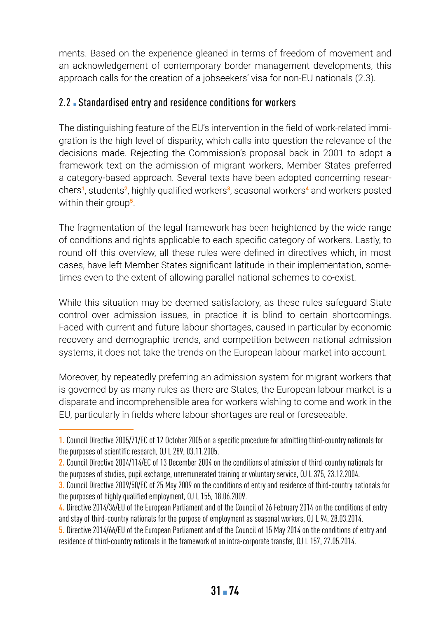ments. Based on the experience gleaned in terms of freedom of movement and an acknowledgement of contemporary border management developments, this approach calls for the creation of a jobseekers' visa for non-EU nationals (2.3).

#### 2.2 Standardised entry and residence conditions for workers

The distinguishing feature of the EU's intervention in the field of work-related immigration is the high level of disparity, which calls into question the relevance of the decisions made. Rejecting the Commission's proposal back in 2001 to adopt a framework text on the admission of migrant workers, Member States preferred a category-based approach. Several texts have been adopted concerning researchers**<sup>1</sup>**, students**<sup>2</sup>**, highly qualified workers**<sup>3</sup>**, seasonal workers**<sup>4</sup>** and workers posted within their group**<sup>5</sup>**.

The fragmentation of the legal framework has been heightened by the wide range of conditions and rights applicable to each specific category of workers. Lastly, to round off this overview, all these rules were defined in directives which, in most cases, have left Member States significant latitude in their implementation, sometimes even to the extent of allowing parallel national schemes to co-exist.

While this situation may be deemed satisfactory, as these rules safeguard State control over admission issues, in practice it is blind to certain shortcomings. Faced with current and future labour shortages, caused in particular by economic recovery and demographic trends, and competition between national admission systems, it does not take the trends on the European labour market into account.

Moreover, by repeatedly preferring an admission system for migrant workers that is governed by as many rules as there are States, the European labour market is a disparate and incomprehensible area for workers wishing to come and work in the EU, particularly in fields where labour shortages are real or foreseeable.

**<sup>1.</sup>** Council Directive 2005/71/EC of 12 October 2005 on a specific procedure for admitting third-country nationals for the purposes of scientific research, OJ L 289, 03.11.2005.

**<sup>2.</sup>** Council Directive 2004/114/EC of 13 December 2004 on the conditions of admission of third-country nationals for the purposes of studies, pupil exchange, unremunerated training or voluntary service, OJ L 375, 23.12.2004.

**<sup>3.</sup>** Council Directive 2009/50/EC of 25 May 2009 on the conditions of entry and residence of third-country nationals for the purposes of highly qualified employment, OJ L 155, 18.06.2009.

**<sup>4.</sup>** Directive 2014/36/EU of the European Parliament and of the Council of 26 February 2014 on the conditions of entry and stay of third-country nationals for the purpose of employment as seasonal workers, OJ L 94, 28.03.2014.

**<sup>5.</sup>** Directive 2014/66/EU of the European Parliament and of the Council of 15 May 2014 on the conditions of entry and residence of third-country nationals in the framework of an intra-corporate transfer, OJ L 157, 27.05.2014.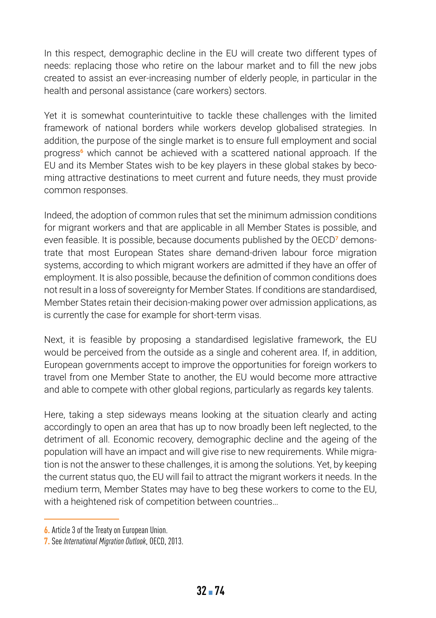In this respect, demographic decline in the EU will create two different types of needs: replacing those who retire on the labour market and to fill the new jobs created to assist an ever-increasing number of elderly people, in particular in the health and personal assistance (care workers) sectors.

Yet it is somewhat counterintuitive to tackle these challenges with the limited framework of national borders while workers develop globalised strategies. In addition, the purpose of the single market is to ensure full employment and social progress**<sup>6</sup>** which cannot be achieved with a scattered national approach. If the EU and its Member States wish to be key players in these global stakes by becoming attractive destinations to meet current and future needs, they must provide common responses.

Indeed, the adoption of common rules that set the minimum admission conditions for migrant workers and that are applicable in all Member States is possible, and even feasible. It is possible, because documents published by the OECD**7** demonstrate that most European States share demand-driven labour force migration systems, according to which migrant workers are admitted if they have an offer of employment. It is also possible, because the definition of common conditions does not result in a loss of sovereignty for Member States. If conditions are standardised, Member States retain their decision-making power over admission applications, as is currently the case for example for short-term visas.

Next, it is feasible by proposing a standardised legislative framework, the EU would be perceived from the outside as a single and coherent area. If, in addition, European governments accept to improve the opportunities for foreign workers to travel from one Member State to another, the EU would become more attractive and able to compete with other global regions, particularly as regards key talents.

Here, taking a step sideways means looking at the situation clearly and acting accordingly to open an area that has up to now broadly been left neglected, to the detriment of all. Economic recovery, demographic decline and the ageing of the population will have an impact and will give rise to new requirements. While migration is not the answer to these challenges, it is among the solutions. Yet, by keeping the current status quo, the EU will fail to attract the migrant workers it needs. In the medium term, Member States may have to beg these workers to come to the EU, with a heightened risk of competition between countries…

**<sup>6.</sup>** Article 3 of the Treaty on European Union.

**<sup>7.</sup>** See *International Migration Outlook*, OECD, 2013.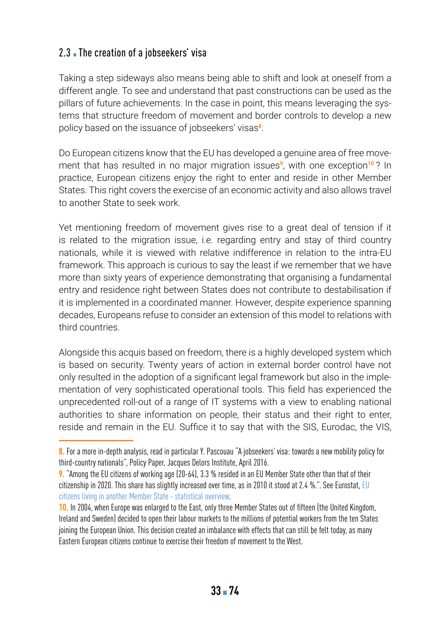# 2.3 The creation of a jobseekers' visa

Taking a step sideways also means being able to shift and look at oneself from a different angle. To see and understand that past constructions can be used as the pillars of future achievements. In the case in point, this means leveraging the systems that structure freedom of movement and border controls to develop a new policy based on the issuance of jobseekers' visas**<sup>8</sup>**.

Do European citizens know that the EU has developed a genuine area of free movement that has resulted in no major migration issues**<sup>9</sup>**, with one exception**<sup>10</sup>** ? In practice, European citizens enjoy the right to enter and reside in other Member States. This right covers the exercise of an economic activity and also allows travel to another State to seek work.

Yet mentioning freedom of movement gives rise to a great deal of tension if it is related to the migration issue, i.e. regarding entry and stay of third country nationals, while it is viewed with relative indifference in relation to the intra-EU framework. This approach is curious to say the least if we remember that we have more than sixty years of experience demonstrating that organising a fundamental entry and residence right between States does not contribute to destabilisation if it is implemented in a coordinated manner. However, despite experience spanning decades, Europeans refuse to consider an extension of this model to relations with third countries.

Alongside this acquis based on freedom, there is a highly developed system which is based on security. Twenty years of action in external border control have not only resulted in the adoption of a significant legal framework but also in the implementation of very sophisticated operational tools. This field has experienced the unprecedented roll-out of a range of IT systems with a view to enabling national authorities to share information on people, their status and their right to enter, reside and remain in the EU. Suffice it to say that with the SIS, Eurodac, the VIS,

**<sup>8.</sup>** For a more in-depth analysis, read in particular Y. Pascouau "A jobseekers' visa: towards a new mobility policy for third-country nationals", Policy Paper, Jacques Delors Institute, April 2016.

**<sup>9.</sup>** "Among the EU citizens of working age (20-64), 3.3 % resided in an EU Member State other than that of their citizenship in 2020. This share has slightly increased over time, as in 2010 it stood at 2.4 %.". See Eurostat, [EU](https://ec.europa.eu/eurostat/statistics-explained/index.php?title=EU_citizens_living_in_another_Member_State_-_statistical_overview#Key_messages)  [citizens living in another Member State - statistical overview.](https://ec.europa.eu/eurostat/statistics-explained/index.php?title=EU_citizens_living_in_another_Member_State_-_statistical_overview#Key_messages)

**<sup>10.</sup>** In 2004, when Europe was enlarged to the East, only three Member States out of fifteen (the United Kingdom, Ireland and Sweden) decided to open their labour markets to the millions of potential workers from the ten States joining the European Union. This decision created an imbalance with effects that can still be felt today, as many Eastern European citizens continue to exercise their freedom of movement to the West.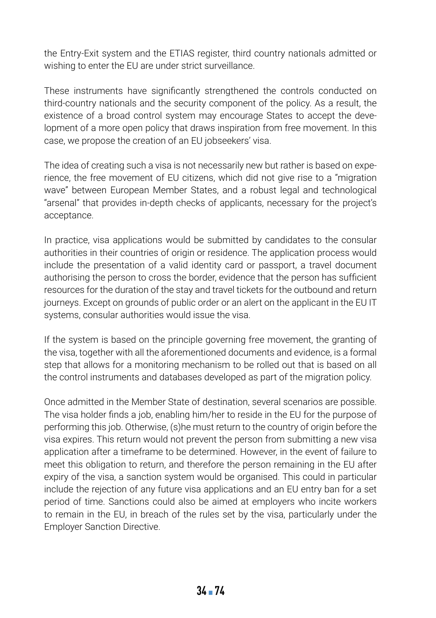the Entry-Exit system and the ETIAS register, third country nationals admitted or wishing to enter the EU are under strict surveillance.

These instruments have significantly strengthened the controls conducted on third-country nationals and the security component of the policy. As a result, the existence of a broad control system may encourage States to accept the development of a more open policy that draws inspiration from free movement. In this case, we propose the creation of an EU jobseekers' visa.

The idea of creating such a visa is not necessarily new but rather is based on experience, the free movement of EU citizens, which did not give rise to a "migration wave" between European Member States, and a robust legal and technological "arsenal" that provides in-depth checks of applicants, necessary for the project's acceptance.

In practice, visa applications would be submitted by candidates to the consular authorities in their countries of origin or residence. The application process would include the presentation of a valid identity card or passport, a travel document authorising the person to cross the border, evidence that the person has sufficient resources for the duration of the stay and travel tickets for the outbound and return journeys. Except on grounds of public order or an alert on the applicant in the EU IT systems, consular authorities would issue the visa.

If the system is based on the principle governing free movement, the granting of the visa, together with all the aforementioned documents and evidence, is a formal step that allows for a monitoring mechanism to be rolled out that is based on all the control instruments and databases developed as part of the migration policy.

Once admitted in the Member State of destination, several scenarios are possible. The visa holder finds a job, enabling him/her to reside in the EU for the purpose of performing this job. Otherwise, (s)he must return to the country of origin before the visa expires. This return would not prevent the person from submitting a new visa application after a timeframe to be determined. However, in the event of failure to meet this obligation to return, and therefore the person remaining in the EU after expiry of the visa, a sanction system would be organised. This could in particular include the rejection of any future visa applications and an EU entry ban for a set period of time. Sanctions could also be aimed at employers who incite workers to remain in the EU, in breach of the rules set by the visa, particularly under the Employer Sanction Directive.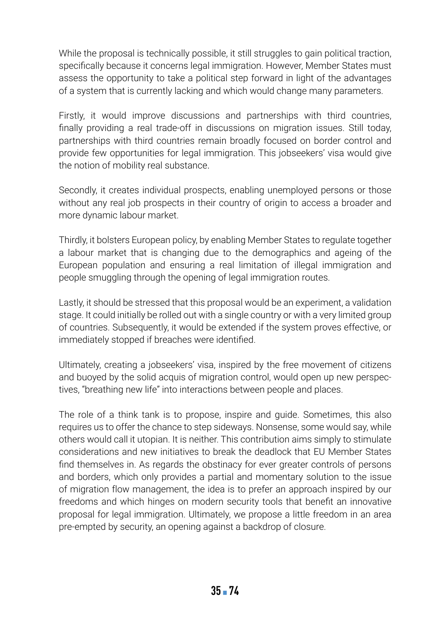While the proposal is technically possible, it still struggles to gain political traction, specifically because it concerns legal immigration. However, Member States must assess the opportunity to take a political step forward in light of the advantages of a system that is currently lacking and which would change many parameters.

Firstly, it would improve discussions and partnerships with third countries, finally providing a real trade-off in discussions on migration issues. Still today, partnerships with third countries remain broadly focused on border control and provide few opportunities for legal immigration. This jobseekers' visa would give the notion of mobility real substance.

Secondly, it creates individual prospects, enabling unemployed persons or those without any real job prospects in their country of origin to access a broader and more dynamic labour market.

Thirdly, it bolsters European policy, by enabling Member States to regulate together a labour market that is changing due to the demographics and ageing of the European population and ensuring a real limitation of illegal immigration and people smuggling through the opening of legal immigration routes.

Lastly, it should be stressed that this proposal would be an experiment, a validation stage. It could initially be rolled out with a single country or with a very limited group of countries. Subsequently, it would be extended if the system proves effective, or immediately stopped if breaches were identified.

Ultimately, creating a jobseekers' visa, inspired by the free movement of citizens and buoyed by the solid acquis of migration control, would open up new perspectives, "breathing new life" into interactions between people and places.

The role of a think tank is to propose, inspire and guide. Sometimes, this also requires us to offer the chance to step sideways. Nonsense, some would say, while others would call it utopian. It is neither. This contribution aims simply to stimulate considerations and new initiatives to break the deadlock that EU Member States find themselves in. As regards the obstinacy for ever greater controls of persons and borders, which only provides a partial and momentary solution to the issue of migration flow management, the idea is to prefer an approach inspired by our freedoms and which hinges on modern security tools that benefit an innovative proposal for legal immigration. Ultimately, we propose a little freedom in an area pre-empted by security, an opening against a backdrop of closure.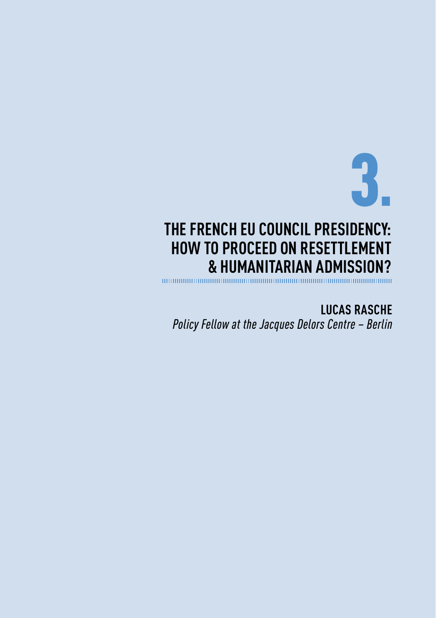3▪

# **THE FRENCH EU COUNCIL PRESIDENCY: HOW TO PROCEED ON RESETTLEMENT & HUMANITARIAN ADMISSION?**

**LUCAS RASCHE** *Policy Fellow at the Jacques Delors Centre – Berlin*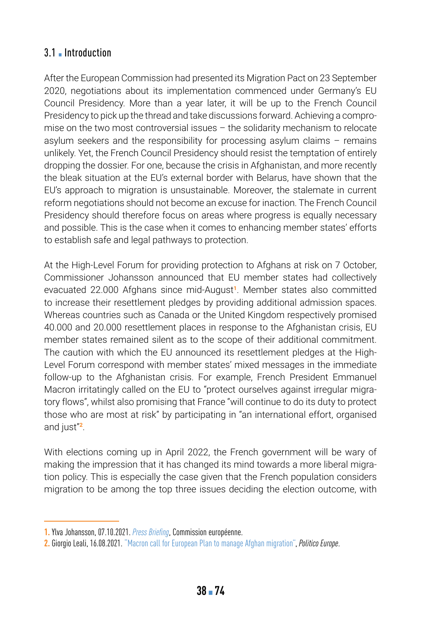## 3.1 **• Introduction**

After the European Commission had presented its Migration Pact on 23 September 2020, negotiations about its implementation commenced under Germany's EU Council Presidency. More than a year later, it will be up to the French Council Presidency to pick up the thread and take discussions forward. Achieving a compromise on the two most controversial issues – the solidarity mechanism to relocate asylum seekers and the responsibility for processing asylum claims – remains unlikely. Yet, the French Council Presidency should resist the temptation of entirely dropping the dossier. For one, because the crisis in Afghanistan, and more recently the bleak situation at the EU's external border with Belarus, have shown that the EU's approach to migration is unsustainable. Moreover, the stalemate in current reform negotiations should not become an excuse for inaction. The French Council Presidency should therefore focus on areas where progress is equally necessary and possible. This is the case when it comes to enhancing member states' efforts to establish safe and legal pathways to protection.

At the High-Level Forum for providing protection to Afghans at risk on 7 October, Commissioner Johansson announced that EU member states had collectively evacuated 22.000 Afghans since mid-August**<sup>1</sup>**. Member states also committed to increase their resettlement pledges by providing additional admission spaces. Whereas countries such as Canada or the United Kingdom respectively promised 40.000 and 20.000 resettlement places in response to the Afghanistan crisis, EU member states remained silent as to the scope of their additional commitment. The caution with which the EU announced its resettlement pledges at the High-Level Forum correspond with member states' mixed messages in the immediate follow-up to the Afghanistan crisis. For example, French President Emmanuel Macron irritatingly called on the EU to "protect ourselves against irregular migratory flows", whilst also promising that France "will continue to do its duty to protect those who are most at risk" by participating in "an international effort, organised and just"**<sup>2</sup>**.

With elections coming up in April 2022, the French government will be wary of making the impression that it has changed its mind towards a more liberal migration policy. This is especially the case given that the French population considers migration to be among the top three issues deciding the election outcome, with

**<sup>1.</sup>** Ylva Johansson, 07.10.2021. [P](https://audiovisual.ec.europa.eu/en/video/I-211839)ress Briefing, Commission européenne.

**<sup>2.</sup>** Giorgio Leali, 16.08.2021. ["Macron call for European Plan to manage Afghan migration"](https://www.politico.eu/article/france-emmanuel-macron-europe-plan-afghanistan-migration-crisis-taliban/), *Politico Europe*.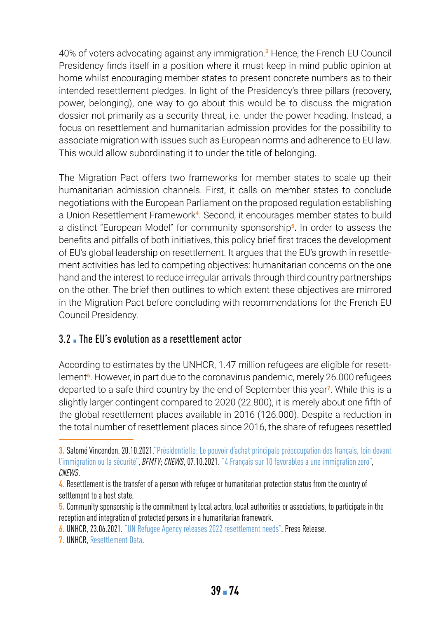40% of voters advocating against any immigration.**<sup>3</sup>** Hence, the French EU Council Presidency finds itself in a position where it must keep in mind public opinion at home whilst encouraging member states to present concrete numbers as to their intended resettlement pledges. In light of the Presidency's three pillars (recovery, power, belonging), one way to go about this would be to discuss the migration dossier not primarily as a security threat, i.e. under the power heading. Instead, a focus on resettlement and humanitarian admission provides for the possibility to associate migration with issues such as European norms and adherence to EU law. This would allow subordinating it to under the title of belonging.

The Migration Pact offers two frameworks for member states to scale up their humanitarian admission channels. First, it calls on member states to conclude negotiations with the European Parliament on the proposed regulation establishing a Union Resettlement Framework**<sup>4</sup>**. Second, it encourages member states to build a distinct "European Model" for community sponsorship**<sup>5</sup>**. In order to assess the benefits and pitfalls of both initiatives, this policy brief first traces the development of EU's global leadership on resettlement. It argues that the EU's growth in resettlement activities has led to competing objectives: humanitarian concerns on the one hand and the interest to reduce irregular arrivals through third country partnerships on the other. The brief then outlines to which extent these objectives are mirrored in the Migration Pact before concluding with recommendations for the French EU Council Presidency.

## 3.2. The EU's evolution as a resettlement actor

According to estimates by the UNHCR, 1.47 million refugees are eligible for resettlement**<sup>6</sup>**. However, in part due to the coronavirus pandemic, merely 26.000 refugees departed to a safe third country by the end of September this year**<sup>7</sup>**. While this is a slightly larger contingent compared to 2020 (22.800), it is merely about one fifth of the global resettlement places available in 2016 (126.000). Despite a reduction in the total number of resettlement places since 2016, the share of refugees resettled

**<sup>3.</sup>** Salomé Vincendon, 20.10.2021[."Présidentielle: Le pouvoir d'achat principale préoccupation des français, loin devant](https://www.bfmtv.com/societe/sondage-bfmtv-presidentielle-le-pouvoir-d-achat-principale-preoccupation-des-francais-loin-devant-l-immigration-ou-la-securite_AN-202110200007.html)  [l'immigration ou la sécurité"](https://www.bfmtv.com/societe/sondage-bfmtv-presidentielle-le-pouvoir-d-achat-principale-preoccupation-des-francais-loin-devant-l-immigration-ou-la-securite_AN-202110200007.html), *BFMTV*; *CNEWS*, 07.10.2021. ["4 Français sur 10 favorables a une immigration zero](https://www.cnews.fr/france/2021-10-07/sondage-4-francais-sur-10-favorables-une-immigration-zero-1134677)", *CNEWS*.

**<sup>4.</sup>** Resettlement is the transfer of a person with refugee or humanitarian protection status from the country of settlement to a host state.

**<sup>5.</sup>** Community sponsorship is the commitment by local actors, local authorities or associations, to participate in the reception and integration of protected persons in a humanitarian framework.

**<sup>6.</sup>** UNHCR, 23.06.2021. ["UN Refugee Agency releases 2022 resettlement needs".](https://www.unhcr.org/news/press/2021/6/60d32ba44/un-refugee-agency-releases-2022-resettlement-needs.html) Press Release.

**<sup>7.</sup>** UNHCR, [Resettlement Data](https://www.unhcr.org/resettlement-data.html).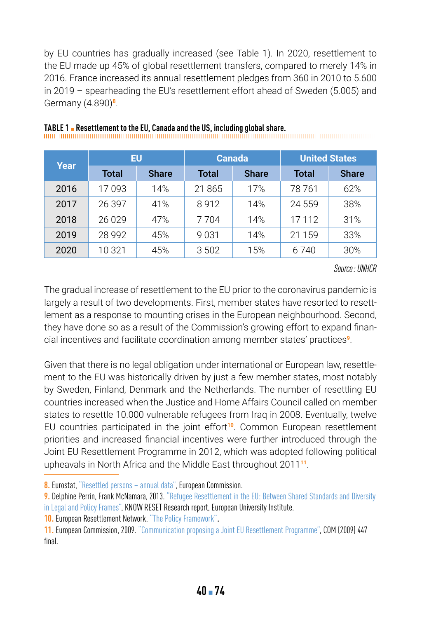by EU countries has gradually increased (see Table 1). In 2020, resettlement to the EU made up 45% of global resettlement transfers, compared to merely 14% in 2016. France increased its annual resettlement pledges from 360 in 2010 to 5.600 in 2019 – spearheading the EU's resettlement effort ahead of Sweden (5.005) and Germany (4.890)**<sup>8</sup>**.

| Year | EU      |              | <b>Canada</b> |              | <b>United States</b> |              |
|------|---------|--------------|---------------|--------------|----------------------|--------------|
|      | Total   | <b>Share</b> | Total         | <b>Share</b> | Total                | <b>Share</b> |
| 2016 | 17093   | 14%          | 21865         | 17%          | 78 761               | 62%          |
| 2017 | 26397   | 41%          | 8912          | 14%          | 24 559               | 38%          |
| 2018 | 26 0 29 | 47%          | 7 7 0 4       | 14%          | 17 112               | 31%          |
| 2019 | 28 992  | 45%          | 9031          | 14%          | 21 159               | 33%          |
| 2020 | 10 321  | 45%          | 3 502         | 15%          | 6 740                | 30%          |

# **TABLE 1** ▪ **Resettlement to the EU, Canada and the US, including global share.**

*Source: UNHCR*

The gradual increase of resettlement to the EU prior to the coronavirus pandemic is largely a result of two developments. First, member states have resorted to resettlement as a response to mounting crises in the European neighbourhood. Second, they have done so as a result of the Commission's growing effort to expand financial incentives and facilitate coordination among member states' practices**<sup>9</sup>**.

Given that there is no legal obligation under international or European law, resettlement to the EU was historically driven by just a few member states, most notably by Sweden, Finland, Denmark and the Netherlands. The number of resettling EU countries increased when the Justice and Home Affairs Council called on member states to resettle 10.000 vulnerable refugees from Iraq in 2008. Eventually, twelve EU countries participated in the joint effort**<sup>10</sup>**. Common European resettlement priorities and increased financial incentives were further introduced through the Joint EU Resettlement Programme in 2012, which was adopted following political upheavals in North Africa and the Middle East throughout 2011**<sup>11</sup>**.

**8.** Eurostat, ["Resettled persons – annual data"](https://ec.europa.eu/eurostat/databrowser/view/tps00195/default/table?lang=en), European Commission.

**9.** Delphine Perrin, Frank McNamara, 2013. ["Refugee Resettlement in the EU: Between Shared Standards and Diversity](https://cadmus.eui.eu/bitstream/handle/1814/29400/KnowReset_RR-2013_03.pdf)  [in Legal and Policy Frames",](https://cadmus.eui.eu/bitstream/handle/1814/29400/KnowReset_RR-2013_03.pdf) KNOW RESET Research report, European University Institute.

**10.** European Resettlement Network. ["The Policy Framework"](https://www.resettlement.eu/page/resettlement-in-europe).

**11.** European Commission, 2009. ["Communication proposing a Joint EU Resettlement Programme",](https://eur-lex.europa.eu/LexUriServ/LexUriServ.do?uri=COM:2009:0447:FIN:EN:PDF) COM (2009) 447 final.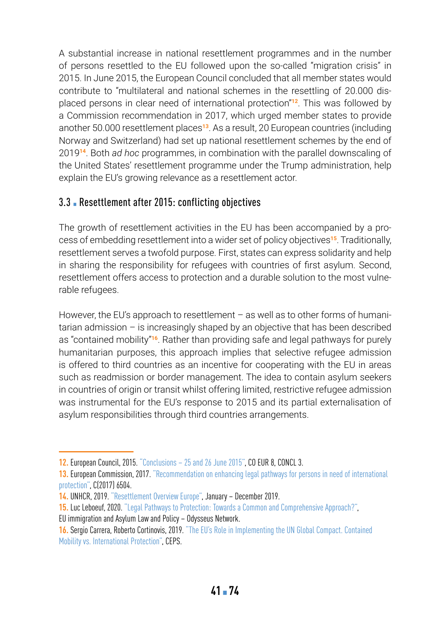A substantial increase in national resettlement programmes and in the number of persons resettled to the EU followed upon the so-called "migration crisis" in 2015. In June 2015, the European Council concluded that all member states would contribute to "multilateral and national schemes in the resettling of 20.000 displaced persons in clear need of international protection"**<sup>12</sup>**. This was followed by a Commission recommendation in 2017, which urged member states to provide another 50.000 resettlement places**<sup>13</sup>**. As a result, 20 European countries (including Norway and Switzerland) had set up national resettlement schemes by the end of 2019**<sup>14</sup>**. Both *ad hoc* programmes, in combination with the parallel downscaling of the United States' resettlement programme under the Trump administration, help explain the EU's growing relevance as a resettlement actor.

# 3.3 **• Resettlement after 2015: conflicting objectives**

The growth of resettlement activities in the EU has been accompanied by a process of embedding resettlement into a wider set of policy objectives**<sup>15</sup>**. Traditionally, resettlement serves a twofold purpose. First, states can express solidarity and help in sharing the responsibility for refugees with countries of first asylum. Second, resettlement offers access to protection and a durable solution to the most vulnerable refugees.

However, the EU's approach to resettlement – as well as to other forms of humanitarian admission – is increasingly shaped by an objective that has been described as "contained mobility"**<sup>16</sup>**. Rather than providing safe and legal pathways for purely humanitarian purposes, this approach implies that selective refugee admission is offered to third countries as an incentive for cooperating with the EU in areas such as readmission or border management. The idea to contain asylum seekers in countries of origin or transit whilst offering limited, restrictive refugee admission was instrumental for the EU's response to 2015 and its partial externalisation of asylum responsibilities through third countries arrangements.

**<sup>12.</sup>** European Council, 2015. ["Conclusions – 25 and 26 June 2015](https://www.consilium.europa.eu/media/21717/euco-conclusions-25-26-june-2015.pdf)", CO EUR 8, CONCL 3.

**<sup>13.</sup>** European Commission, 2017. ["Recommendation on enhancing legal pathways for persons in need of international](https://eur-lex.europa.eu/legal-content/EN/TXT/PDF/?uri=CELEX:32017H1803&from=EN)  [protection"](https://eur-lex.europa.eu/legal-content/EN/TXT/PDF/?uri=CELEX:32017H1803&from=EN), C(2017) 6504.

**<sup>14.</sup>** UNHCR, 2019. ["Resettlement Overview Europe"](https://data2.unhcr.org/en/documents/download/77244), January – December 2019.

**<sup>15.</sup>** Luc Leboeuf, 2020. ["Legal Pathways to Protection: Towards a Common and Comprehensive Approach?"](https://eumigrationlawblog.eu/legal-pathways-to-protection-towards-a-common-and-comprehensive-approach/),

EU immigration and Asylum Law and Policy – Odysseus Network.

**<sup>16.</sup>** Sergio Carrera, Roberto Cortinovis, 2019. ["The EU's Role in Implementing the UN Global Compact. Contained](https://www.ceps.eu/ceps-publications/eus-role-implementing-un-global-compact-refugees/)  [Mobility vs. International Protection",](https://www.ceps.eu/ceps-publications/eus-role-implementing-un-global-compact-refugees/) CEPS.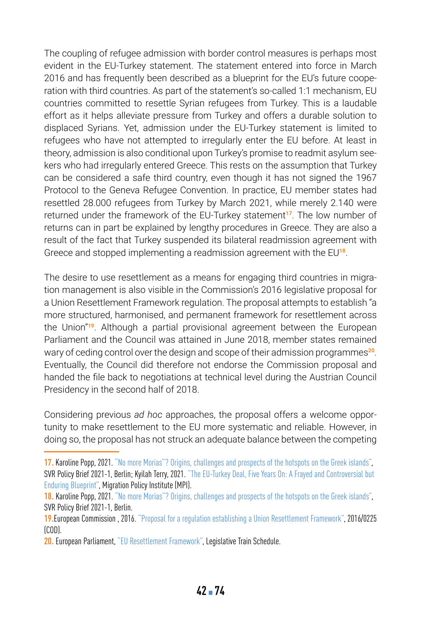The coupling of refugee admission with border control measures is perhaps most evident in the EU-Turkey statement. The statement entered into force in March 2016 and has frequently been described as a blueprint for the EU's future cooperation with third countries. As part of the statement's so-called 1:1 mechanism, EU countries committed to resettle Syrian refugees from Turkey. This is a laudable effort as it helps alleviate pressure from Turkey and offers a durable solution to displaced Syrians. Yet, admission under the EU-Turkey statement is limited to refugees who have not attempted to irregularly enter the EU before. At least in theory, admission is also conditional upon Turkey's promise to readmit asylum seekers who had irregularly entered Greece. This rests on the assumption that Turkey can be considered a safe third country, even though it has not signed the 1967 Protocol to the Geneva Refugee Convention. In practice, EU member states had resettled 28.000 refugees from Turkey by March 2021, while merely 2.140 were returned under the framework of the EU-Turkey statement**<sup>17</sup>**. The low number of returns can in part be explained by lengthy procedures in Greece. They are also a result of the fact that Turkey suspended its bilateral readmission agreement with Greece and stopped implementing a readmission agreement with the EU**<sup>18</sup>**.

The desire to use resettlement as a means for engaging third countries in migration management is also visible in the Commission's 2016 legislative proposal for a Union Resettlement Framework regulation. The proposal attempts to establish "a more structured, harmonised, and permanent framework for resettlement across the Union"**<sup>19</sup>**. Although a partial provisional agreement between the European Parliament and the Council was attained in June 2018, member states remained wary of ceding control over the design and scope of their admission programmes**<sup>20</sup>**. Eventually, the Council did therefore not endorse the Commission proposal and handed the file back to negotiations at technical level during the Austrian Council Presidency in the second half of 2018.

Considering previous *ad hoc* approaches, the proposal offers a welcome opportunity to make resettlement to the EU more systematic and reliable. However, in doing so, the proposal has not struck an adequate balance between the competing

**<sup>17.</sup> Karoline Popp, 2021.** ["No more Morias"? Origins, challenges and prospects of the hotspots on the Greek islands"](https://www.svr-migration.de/wp-content/uploads/2021/03/SVR_Policy-Brief_Moria_EN_barrier-free.pdf), SVR Policy Brief 2021-1, Berlin; Kyilah Terry, 2021. ["The EU-Turkey Deal, Five Years On: A Frayed and Controversial but](https://www.migrationpolicy.org/article/eu-turkey-deal-five-years-on)  [Enduring Blueprint"](https://www.migrationpolicy.org/article/eu-turkey-deal-five-years-on), Migration Policy Institute (MPI).

**<sup>18.</sup>** Karoline Popp, 2021. ["No more Morias"? Origins, challenges and prospects of the hotspots on the Greek islands"](https://www.svr-migration.de/wp-content/uploads/2021/03/SVR_Policy-Brief_Moria_EN_barrier-free.pdf), SVR Policy Brief 2021-1, Berlin.

**<sup>19.</sup>**European Commission , 2016. ["Proposal for a regulation establishing a Union Resettlement Framework"](https://eur-lex.europa.eu/legal-content/EN/TXT/PDF/?uri=CELEX:52016PC0468&from=EN), 2016/0225 (COD).

**<sup>20.</sup>** European Parliament, ["EU Resettlement Framework",](https://www.europarl.europa.eu/legislative-train/theme-towards-a-new-policy-on-migration/file-jd-eu-resettlement-framework) Legislative Train Schedule.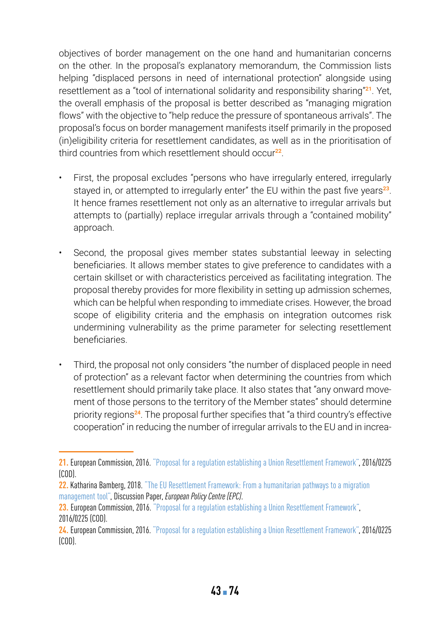objectives of border management on the one hand and humanitarian concerns on the other. In the proposal's explanatory memorandum, the Commission lists helping "displaced persons in need of international protection" alongside using resettlement as a "tool of international solidarity and responsibility sharing"**<sup>21</sup>**. Yet, the overall emphasis of the proposal is better described as "managing migration flows" with the objective to "help reduce the pressure of spontaneous arrivals". The proposal's focus on border management manifests itself primarily in the proposed (in)eligibility criteria for resettlement candidates, as well as in the prioritisation of third countries from which resettlement should occur**<sup>22</sup>**.

- First, the proposal excludes "persons who have irregularly entered, irregularly stayed in, or attempted to irregularly enter" the EU within the past five years**<sup>23</sup>**. It hence frames resettlement not only as an alternative to irregular arrivals but attempts to (partially) replace irregular arrivals through a "contained mobility" approach.
- Second, the proposal gives member states substantial leeway in selecting beneficiaries. It allows member states to give preference to candidates with a certain skillset or with characteristics perceived as facilitating integration. The proposal thereby provides for more flexibility in setting up admission schemes, which can be helpful when responding to immediate crises. However, the broad scope of eligibility criteria and the emphasis on integration outcomes risk undermining vulnerability as the prime parameter for selecting resettlement beneficiaries.
- Third, the proposal not only considers "the number of displaced people in need of protection" as a relevant factor when determining the countries from which resettlement should primarily take place. It also states that "any onward movement of those persons to the territory of the Member states" should determine priority regions**<sup>24</sup>**. The proposal further specifies that "a third country's effective cooperation" in reducing the number of irregular arrivals to the EU and in increa-

**<sup>21.</sup>** European Commission, 2016. ["Proposal for a regulation establishing a Union Resettlement Framework](https://eur-lex.europa.eu/legal-content/EN/TXT/PDF/?uri=CELEX:52016PC0468&from=EN)", 2016/0225 (COD).

**<sup>22.</sup>** Katharina Bamberg, 2018. ["The EU Resettlement Framework: From a humanitarian pathways to a migration](https://www.epc.eu/en/Publications/The-EU-Resettlement-Framework~203de8)  [management tool"](https://www.epc.eu/en/Publications/The-EU-Resettlement-Framework~203de8), Discussion Paper, *European Policy Centre (EPC)*.

<sup>23.</sup> European Commission, 2016. ["Proposal for a regulation establishing a Union Resettlement Framework](https://eur-lex.europa.eu/legal-content/EN/TXT/PDF/?uri=CELEX:52016PC0468&from=EN)". 2016/0225 (COD).

**<sup>24.</sup>** European Commission, 2016. ["Proposal for a regulation establishing a Union Resettlement Framework](https://eur-lex.europa.eu/legal-content/EN/TXT/PDF/?uri=CELEX:52016PC0468&from=EN)", 2016/0225  $(C<sub>0</sub>)$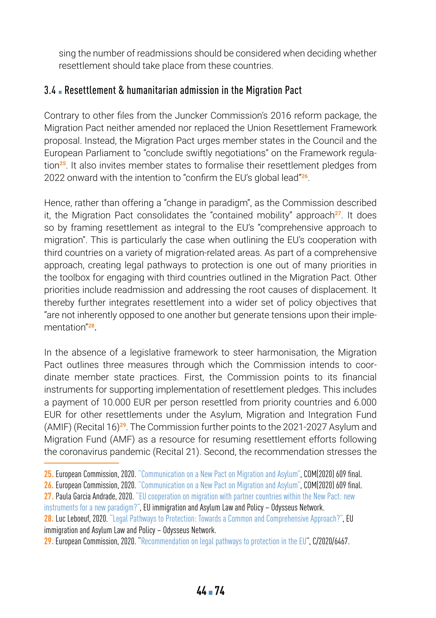sing the number of readmissions should be considered when deciding whether resettlement should take place from these countries.

#### 3.4 ▪ Resettlement & humanitarian admission in the Migration Pact

Contrary to other files from the Juncker Commission's 2016 reform package, the Migration Pact neither amended nor replaced the Union Resettlement Framework proposal. Instead, the Migration Pact urges member states in the Council and the European Parliament to "conclude swiftly negotiations" on the Framework regulation**<sup>25</sup>**. It also invites member states to formalise their resettlement pledges from 2022 onward with the intention to "confirm the EU's global lead"**<sup>26</sup>**.

Hence, rather than offering a "change in paradigm", as the Commission described it, the Migration Pact consolidates the "contained mobility" approach<sup>27</sup>. It does so by framing resettlement as integral to the EU's "comprehensive approach to migration". This is particularly the case when outlining the EU's cooperation with third countries on a variety of migration-related areas. As part of a comprehensive approach, creating legal pathways to protection is one out of many priorities in the toolbox for engaging with third countries outlined in the Migration Pact. Other priorities include readmission and addressing the root causes of displacement. It thereby further integrates resettlement into a wider set of policy objectives that "are not inherently opposed to one another but generate tensions upon their implementation"**<sup>28</sup>**.

In the absence of a legislative framework to steer harmonisation, the Migration Pact outlines three measures through which the Commission intends to coordinate member state practices. First, the Commission points to its financial instruments for supporting implementation of resettlement pledges. This includes a payment of 10.000 EUR per person resettled from priority countries and 6.000 EUR for other resettlements under the Asylum, Migration and Integration Fund (AMIF) (Recital 16)**<sup>29</sup>**. The Commission further points to the 2021-2027 Asylum and Migration Fund (AMF) as a resource for resuming resettlement efforts following the coronavirus pandemic (Recital 21). Second, the recommendation stresses the

**<sup>25.</sup>** European Commission, 2020. ["Communication on a New Pact on Migration and Asylum"](https://eur-lex.europa.eu/resource.html?uri=cellar:85ff8b4f-ff13-11ea-b44f-01aa75ed71a1.0002.02/DOC_3&format=PDF), COM(2020) 609 final.

**<sup>26.</sup>** European Commission, 2020. ["Communication on a New Pact on Migration and Asylum"](https://eur-lex.europa.eu/resource.html?uri=cellar:85ff8b4f-ff13-11ea-b44f-01aa75ed71a1.0002.02/DOC_3&format=PDF), COM(2020) 609 final.

**<sup>27.</sup>** Paula Garcia Andrade, 2020. ["EU cooperation on migration with partner countries within the New Pact: new](https://eumigrationlawblog.eu/eu-cooperation-on-migration-with-partner-countries-within-the-new-pact-new-instruments-for-a-new-paradigm/)  [instruments for a new paradigm?",](https://eumigrationlawblog.eu/eu-cooperation-on-migration-with-partner-countries-within-the-new-pact-new-instruments-for-a-new-paradigm/) EU immigration and Asylum Law and Policy – Odysseus Network.

**<sup>28.</sup>** Luc Leboeuf, 2020. ["Legal Pathways to Protection: Towards a Common and Comprehensive Approach?"](https://eumigrationlawblog.eu/legal-pathways-to-protection-towards-a-common-and-comprehensive-approach/), EU immigration and Asylum Law and Policy – Odysseus Network.

**<sup>29.</sup>** European Commission, 2020. "[Recommendation on legal pathways to protection in the EU](https://eur-lex.europa.eu/legal-content/EN/TXT/PDF/?uri=CELEX:32020H1364&from=FR))", C/2020/6467.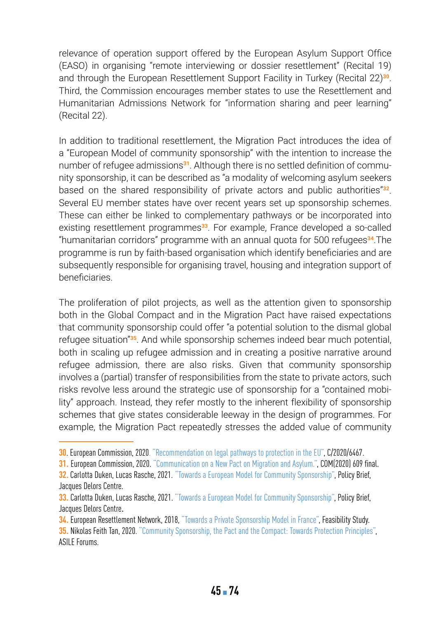relevance of operation support offered by the European Asylum Support Office (EASO) in organising "remote interviewing or dossier resettlement" (Recital 19) and through the European Resettlement Support Facility in Turkey (Recital 22)**<sup>30</sup>**. Third, the Commission encourages member states to use the Resettlement and Humanitarian Admissions Network for "information sharing and peer learning" (Recital 22).

In addition to traditional resettlement, the Migration Pact introduces the idea of a "European Model of community sponsorship" with the intention to increase the number of refugee admissions**31**. Although there is no settled definition of community sponsorship, it can be described as "a modality of welcoming asylum seekers based on the shared responsibility of private actors and public authorities"**<sup>32</sup>**. Several EU member states have over recent years set up sponsorship schemes. These can either be linked to complementary pathways or be incorporated into existing resettlement programmes**<sup>33</sup>**. For example, France developed a so-called "humanitarian corridors" programme with an annual quota for 500 refugees**<sup>34</sup>**.The programme is run by faith-based organisation which identify beneficiaries and are subsequently responsible for organising travel, housing and integration support of beneficiaries.

The proliferation of pilot projects, as well as the attention given to sponsorship both in the Global Compact and in the Migration Pact have raised expectations that community sponsorship could offer "a potential solution to the dismal global refugee situation"**<sup>35</sup>**. And while sponsorship schemes indeed bear much potential, both in scaling up refugee admission and in creating a positive narrative around refugee admission, there are also risks. Given that community sponsorship involves a (partial) transfer of responsibilities from the state to private actors, such risks revolve less around the strategic use of sponsorship for a "contained mobility" approach. Instead, they refer mostly to the inherent flexibility of sponsorship schemes that give states considerable leeway in the design of programmes. For example, the Migration Pact repeatedly stresses the added value of community

**<sup>30</sup>**. European Commission, 2020. ["Recommendation on legal pathways to protection in the EU",](https://eur-lex.europa.eu/legal-content/EN/TXT/PDF/?uri=CELEX:32020H1364&from=FR) C/2020/6467.

**<sup>31.</sup>** European Commission, 2020. ["Communication on a New Pact on Migration and Asylum."](https://eur-lex.europa.eu/resource.html?uri=cellar:85ff8b4f-ff13-11ea-b44f-01aa75ed71a1.0002.02/DOC_3&format=PDF), COM(2020) 609 final.

**<sup>32.</sup>** Carlotta Duken, Lucas Rasche, 2021. ["Towards a European Model for Community Sponsorship",](https://hertieschool-f4e6.kxcdn.com/fileadmin/2_Research/1_About_our_research/2_Research_centres/6_Jacques_Delors_Centre/Publications/202010331_Duken_Rasche_Community_sponsors.pdf) Policy Brief, Jacques Delors Centre.

**<sup>33.</sup>** Carlotta Duken, Lucas Rasche, 2021. ["Towards a European Model for Community Sponsorship",](https://hertieschool-f4e6.kxcdn.com/fileadmin/2_Research/1_About_our_research/2_Research_centres/6_Jacques_Delors_Centre/Publications/202010331_Duken_Rasche_Community_sponsors.pdf) Policy Brief, Jacques Delors Centre.

**<sup>34.</sup>** European Resettlement Network, 2018, ["Towards a Private Sponsorship Model in France",](https://resettlement.eu/resource/private-sponsorship-feasibility-study-towards-private-sponsorship-model-france) Feasibility Study.

**<sup>35.</sup>** Nikolas Feith Tan, 2020. ["Community Sponsorship, the Pact and the Compact: Towards Protection Principles"](https://www.asileproject.eu/community-sponsorship-the-pact-and-the-compact-towards-protection-principles/), ASILE Forums.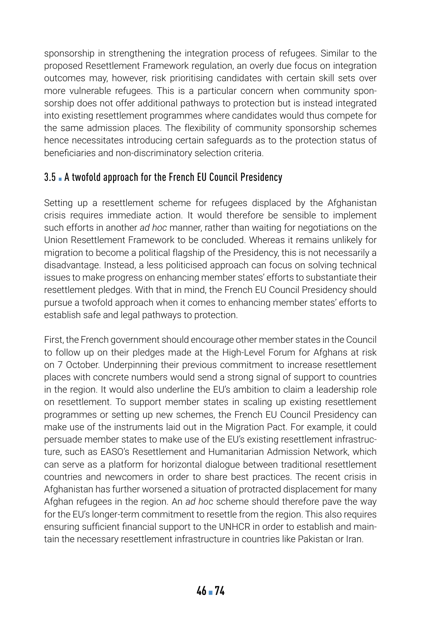sponsorship in strengthening the integration process of refugees. Similar to the proposed Resettlement Framework regulation, an overly due focus on integration outcomes may, however, risk prioritising candidates with certain skill sets over more vulnerable refugees. This is a particular concern when community sponsorship does not offer additional pathways to protection but is instead integrated into existing resettlement programmes where candidates would thus compete for the same admission places. The flexibility of community sponsorship schemes hence necessitates introducing certain safeguards as to the protection status of beneficiaries and non-discriminatory selection criteria.

# 3.5 A twofold approach for the French EU Council Presidency

Setting up a resettlement scheme for refugees displaced by the Afghanistan crisis requires immediate action. It would therefore be sensible to implement such efforts in another *ad hoc* manner, rather than waiting for negotiations on the Union Resettlement Framework to be concluded. Whereas it remains unlikely for migration to become a political flagship of the Presidency, this is not necessarily a disadvantage. Instead, a less politicised approach can focus on solving technical issues to make progress on enhancing member states' efforts to substantiate their resettlement pledges. With that in mind, the French EU Council Presidency should pursue a twofold approach when it comes to enhancing member states' efforts to establish safe and legal pathways to protection.

First, the French government should encourage other member states in the Council to follow up on their pledges made at the High-Level Forum for Afghans at risk on 7 October. Underpinning their previous commitment to increase resettlement places with concrete numbers would send a strong signal of support to countries in the region. It would also underline the EU's ambition to claim a leadership role on resettlement. To support member states in scaling up existing resettlement programmes or setting up new schemes, the French EU Council Presidency can make use of the instruments laid out in the Migration Pact. For example, it could persuade member states to make use of the EU's existing resettlement infrastructure, such as EASO's Resettlement and Humanitarian Admission Network, which can serve as a platform for horizontal dialogue between traditional resettlement countries and newcomers in order to share best practices. The recent crisis in Afghanistan has further worsened a situation of protracted displacement for many Afghan refugees in the region. An *ad hoc* scheme should therefore pave the way for the EU's longer-term commitment to resettle from the region. This also requires ensuring sufficient financial support to the UNHCR in order to establish and maintain the necessary resettlement infrastructure in countries like Pakistan or Iran.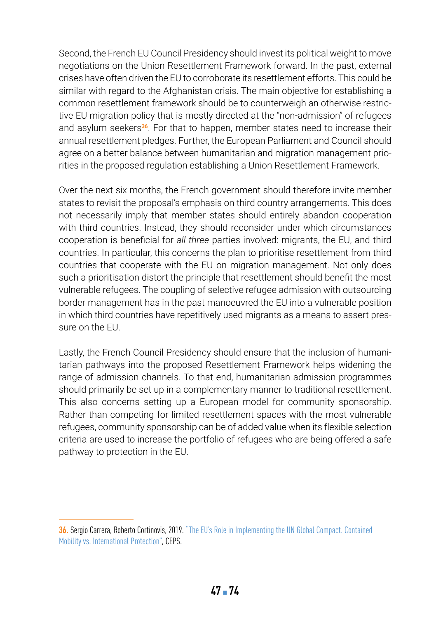Second, the French EU Council Presidency should invest its political weight to move negotiations on the Union Resettlement Framework forward. In the past, external crises have often driven the EU to corroborate its resettlement efforts. This could be similar with regard to the Afghanistan crisis. The main objective for establishing a common resettlement framework should be to counterweigh an otherwise restrictive EU migration policy that is mostly directed at the "non-admission" of refugees and asylum seekers**<sup>36</sup>**. For that to happen, member states need to increase their annual resettlement pledges. Further, the European Parliament and Council should agree on a better balance between humanitarian and migration management priorities in the proposed regulation establishing a Union Resettlement Framework.

Over the next six months, the French government should therefore invite member states to revisit the proposal's emphasis on third country arrangements. This does not necessarily imply that member states should entirely abandon cooperation with third countries. Instead, they should reconsider under which circumstances cooperation is beneficial for *all three* parties involved: migrants, the EU, and third countries. In particular, this concerns the plan to prioritise resettlement from third countries that cooperate with the EU on migration management. Not only does such a prioritisation distort the principle that resettlement should benefit the most vulnerable refugees. The coupling of selective refugee admission with outsourcing border management has in the past manoeuvred the EU into a vulnerable position in which third countries have repetitively used migrants as a means to assert pressure on the EU.

Lastly, the French Council Presidency should ensure that the inclusion of humanitarian pathways into the proposed Resettlement Framework helps widening the range of admission channels. To that end, humanitarian admission programmes should primarily be set up in a complementary manner to traditional resettlement. This also concerns setting up a European model for community sponsorship. Rather than competing for limited resettlement spaces with the most vulnerable refugees, community sponsorship can be of added value when its flexible selection criteria are used to increase the portfolio of refugees who are being offered a safe pathway to protection in the EU.

**<sup>36.</sup>** Sergio Carrera, Roberto Cortinovis, 2019. ["The EU's Role in Implementing the UN Global Compact. Contained](https://www.ceps.eu/ceps-publications/eus-role-implementing-un-global-compact-refugees/)  [Mobility vs. International Protection",](https://www.ceps.eu/ceps-publications/eus-role-implementing-un-global-compact-refugees/) CEPS.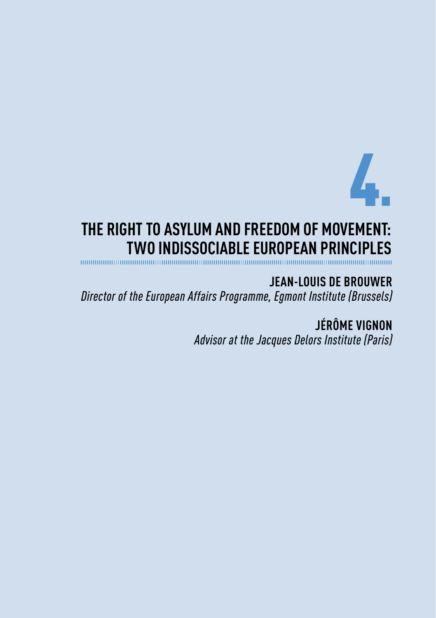

# **THE RIGHT TO ASYLUM AND FREEDOM OF MOVEMENT: TWO INDISSOCIABLE EUROPEAN PRINCIPLES**

**JEAN-LOUIS DE BROUWER** *Director of the European Affairs Programme, Egmont Institute (Brussels)*

> **JÉRÔME VIGNON** *Advisor at the Jacques Delors Institute (Paris)*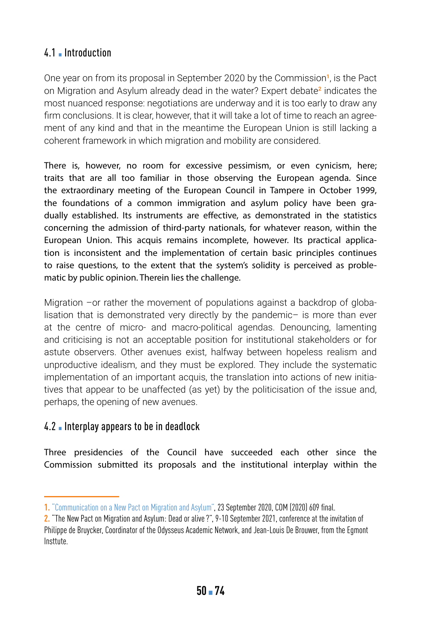### 4.1 **• Introduction**

One year on from its proposal in September 2020 by the Commission**<sup>1</sup>**, is the Pact on Migration and Asylum already dead in the water? Expert debate**<sup>2</sup>** indicates the most nuanced response: negotiations are underway and it is too early to draw any firm conclusions. It is clear, however, that it will take a lot of time to reach an agreement of any kind and that in the meantime the European Union is still lacking a coherent framework in which migration and mobility are considered.

There is, however, no room for excessive pessimism, or even cynicism, here; traits that are all too familiar in those observing the European agenda. Since the extraordinary meeting of the European Council in Tampere in October 1999, the foundations of a common immigration and asylum policy have been gradually established. Its instruments are effective, as demonstrated in the statistics concerning the admission of third-party nationals, for whatever reason, within the European Union. This acquis remains incomplete, however. Its practical application is inconsistent and the implementation of certain basic principles continues to raise questions, to the extent that the system's solidity is perceived as problematic by public opinion. Therein lies the challenge.

Migration –or rather the movement of populations against a backdrop of globalisation that is demonstrated very directly by the pandemic– is more than ever at the centre of micro- and macro-political agendas. Denouncing, lamenting and criticising is not an acceptable position for institutional stakeholders or for astute observers. Other avenues exist, halfway between hopeless realism and unproductive idealism, and they must be explored. They include the systematic implementation of an important acquis, the translation into actions of new initiatives that appear to be unaffected (as yet) by the politicisation of the issue and, perhaps, the opening of new avenues.

#### 4.2 • Interplay appears to be in deadlock

Three presidencies of the Council have succeeded each other since the Commission submitted its proposals and the institutional interplay within the

**<sup>1.</sup>** ["Communication on a New Pact on Migration and Asylum"](https://eur-lex.europa.eu/resource.html?uri=cellar:85ff8b4f-ff13-11ea-b44f-01aa75ed71a1.0002.02/DOC_3&format=PDF), 23 September 2020, COM (2020) 609 final.

**<sup>2.</sup>** "The New Pact on Migration and Asylum: Dead or alive?", 9-10 September 2021, conference at the invitation of Philippe de Bruycker, Coordinator of the Odysseus Academic Network, and Jean-Louis De Brouwer, from the Egmont Insttute.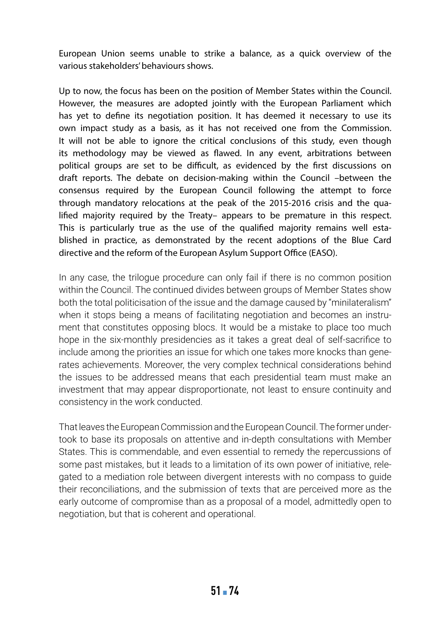European Union seems unable to strike a balance, as a quick overview of the various stakeholders' behaviours shows.

Up to now, the focus has been on the position of Member States within the Council. However, the measures are adopted jointly with the European Parliament which has yet to define its negotiation position. It has deemed it necessary to use its own impact study as a basis, as it has not received one from the Commission. It will not be able to ignore the critical conclusions of this study, even though its methodology may be viewed as flawed. In any event, arbitrations between political groups are set to be difficult, as evidenced by the first discussions on draft reports. The debate on decision-making within the Council –between the consensus required by the European Council following the attempt to force through mandatory relocations at the peak of the 2015-2016 crisis and the qualified majority required by the Treaty– appears to be premature in this respect. This is particularly true as the use of the qualified majority remains well established in practice, as demonstrated by the recent adoptions of the Blue Card directive and the reform of the European Asylum Support Office (EASO).

In any case, the trilogue procedure can only fail if there is no common position within the Council. The continued divides between groups of Member States show both the total politicisation of the issue and the damage caused by "minilateralism" when it stops being a means of facilitating negotiation and becomes an instrument that constitutes opposing blocs. It would be a mistake to place too much hope in the six-monthly presidencies as it takes a great deal of self-sacrifice to include among the priorities an issue for which one takes more knocks than generates achievements. Moreover, the very complex technical considerations behind the issues to be addressed means that each presidential team must make an investment that may appear disproportionate, not least to ensure continuity and consistency in the work conducted.

That leaves the European Commission and the European Council. The former undertook to base its proposals on attentive and in-depth consultations with Member States. This is commendable, and even essential to remedy the repercussions of some past mistakes, but it leads to a limitation of its own power of initiative, relegated to a mediation role between divergent interests with no compass to guide their reconciliations, and the submission of texts that are perceived more as the early outcome of compromise than as a proposal of a model, admittedly open to negotiation, but that is coherent and operational.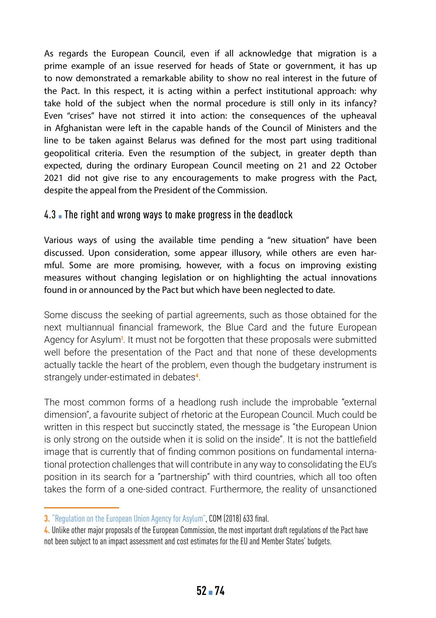As regards the European Council, even if all acknowledge that migration is a prime example of an issue reserved for heads of State or government, it has up to now demonstrated a remarkable ability to show no real interest in the future of the Pact. In this respect, it is acting within a perfect institutional approach: why take hold of the subject when the normal procedure is still only in its infancy? Even "crises" have not stirred it into action: the consequences of the upheaval in Afghanistan were left in the capable hands of the Council of Ministers and the line to be taken against Belarus was defined for the most part using traditional geopolitical criteria. Even the resumption of the subject, in greater depth than expected, during the ordinary European Council meeting on 21 and 22 October 2021 did not give rise to any encouragements to make progress with the Pact, despite the appeal from the President of the Commission.

#### 4.3. The right and wrong ways to make progress in the deadlock

Various ways of using the available time pending a "new situation" have been discussed. Upon consideration, some appear illusory, while others are even harmful. Some are more promising, however, with a focus on improving existing measures without changing legislation or on highlighting the actual innovations found in or announced by the Pact but which have been neglected to date.

Some discuss the seeking of partial agreements, such as those obtained for the next multiannual financial framework, the Blue Card and the future European Agency for Asylum<sup>3</sup>. It must not be forgotten that these proposals were submitted well before the presentation of the Pact and that none of these developments actually tackle the heart of the problem, even though the budgetary instrument is strangely under-estimated in debates**<sup>4</sup>**.

The most common forms of a headlong rush include the improbable "external dimension", a favourite subject of rhetoric at the European Council. Much could be written in this respect but succinctly stated, the message is "the European Union is only strong on the outside when it is solid on the inside". It is not the battlefield image that is currently that of finding common positions on fundamental international protection challenges that will contribute in any way to consolidating the EU's position in its search for a "partnership" with third countries, which all too often takes the form of a one-sided contract. Furthermore, the reality of unsanctioned

**<sup>3.</sup>** ["Regulation on the European Union Agency for Asylum"](https://eur-lex.europa.eu/legal-content/EN/TXT/PDF/?uri=CELEX:52018PC0633&from=EN), COM (2018) 633 final.

**<sup>4.</sup>** Unlike other major proposals of the European Commission, the most important draft regulations of the Pact have not been subject to an impact assessment and cost estimates for the EU and Member States' budgets.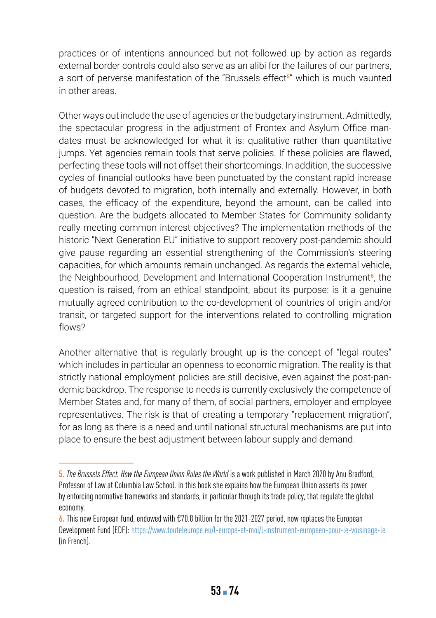practices or of intentions announced but not followed up by action as regards external border controls could also serve as an alibi for the failures of our partners, a sort of perverse manifestation of the "Brussels effect**<sup>5</sup>**" which is much vaunted in other areas.

Other ways out include the use of agencies or the budgetary instrument. Admittedly, the spectacular progress in the adjustment of Frontex and Asylum Office mandates must be acknowledged for what it is: qualitative rather than quantitative jumps. Yet agencies remain tools that serve policies. If these policies are flawed, perfecting these tools will not offset their shortcomings. In addition, the successive cycles of financial outlooks have been punctuated by the constant rapid increase of budgets devoted to migration, both internally and externally. However, in both cases, the efficacy of the expenditure, beyond the amount, can be called into question. Are the budgets allocated to Member States for Community solidarity really meeting common interest objectives? The implementation methods of the historic "Next Generation EU" initiative to support recovery post-pandemic should give pause regarding an essential strengthening of the Commission's steering capacities, for which amounts remain unchanged. As regards the external vehicle, the Neighbourhood, Development and International Cooperation Instrument**<sup>6</sup>**, the question is raised, from an ethical standpoint, about its purpose: is it a genuine mutually agreed contribution to the co-development of countries of origin and/or transit, or targeted support for the interventions related to controlling migration flows?

Another alternative that is regularly brought up is the concept of "legal routes" which includes in particular an openness to economic migration. The reality is that strictly national employment policies are still decisive, even against the post-pandemic backdrop. The response to needs is currently exclusively the competence of Member States and, for many of them, of social partners, employer and employee representatives. The risk is that of creating a temporary "replacement migration", for as long as there is a need and until national structural mechanisms are put into place to ensure the best adjustment between labour supply and demand.

**<sup>5.</sup>** *The Brussels Effect. How the European Union Rules the World* is a work published in March 2020 by Anu Bradford, Professor of Law at Columbia Law School. In this book she explains how the European Union asserts its power by enforcing normative frameworks and standards, in particular through its trade policy, that regulate the global economy.

**<sup>6.</sup>** This new European fund, endowed with €70.8 billion for the 2021-2027 period, now replaces the European Development Fund (EDF): [https://www.touteleurope.eu/l-europe-et-moi/l-instrument-europeen-pour-le-voisinage-le](https://www.touteleurope.eu/l-europe-et-moi/l-instrument-europeen-pour-le-voisinage-le-developpement-et-la-cooperation-internationale-ndici/) (in French).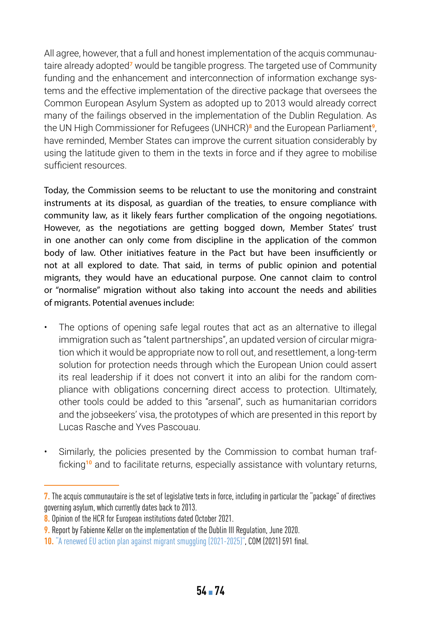All agree, however, that a full and honest implementation of the acquis communautaire already adopted**<sup>7</sup>** would be tangible progress. The targeted use of Community funding and the enhancement and interconnection of information exchange systems and the effective implementation of the directive package that oversees the Common European Asylum System as adopted up to 2013 would already correct many of the failings observed in the implementation of the Dublin Regulation. As the UN High Commissioner for Refugees (UNHCR)**<sup>8</sup>** and the European Parliament**<sup>9</sup>**, have reminded, Member States can improve the current situation considerably by using the latitude given to them in the texts in force and if they agree to mobilise sufficient resources.

Today, the Commission seems to be reluctant to use the monitoring and constraint instruments at its disposal, as guardian of the treaties, to ensure compliance with community law, as it likely fears further complication of the ongoing negotiations. However, as the negotiations are getting bogged down, Member States' trust in one another can only come from discipline in the application of the common body of law. Other initiatives feature in the Pact but have been insufficiently or not at all explored to date. That said, in terms of public opinion and potential migrants, they would have an educational purpose. One cannot claim to control or "normalise" migration without also taking into account the needs and abilities of migrants. Potential avenues include:

- The options of opening safe legal routes that act as an alternative to illegal immigration such as "talent partnerships", an updated version of circular migration which it would be appropriate now to roll out, and resettlement, a long-term solution for protection needs through which the European Union could assert its real leadership if it does not convert it into an alibi for the random compliance with obligations concerning direct access to protection. Ultimately, other tools could be added to this "arsenal", such as humanitarian corridors and the jobseekers' visa, the prototypes of which are presented in this report by Lucas Rasche and Yves Pascouau.
- Similarly, the policies presented by the Commission to combat human trafficking**<sup>10</sup>** and to facilitate returns, especially assistance with voluntary returns,

**<sup>7.</sup>** The acquis communautaire is the set of legislative texts in force, including in particular the "package" of directives governing asylum, which currently dates back to 2013.

**<sup>8.</sup>** Opinion of the HCR for European institutions dated October 2021.

**<sup>9.</sup>** Report by Fabienne Keller on the implementation of the Dublin III Regulation, June 2020.

**<sup>10.</sup>** ["A renewed EU action plan against migrant smuggling \(2021-2025\)",](https://ec.europa.eu/home-affairs/system/files/2021-09/COM-2021-591_en_0.pdf) COM (2021) 591 final.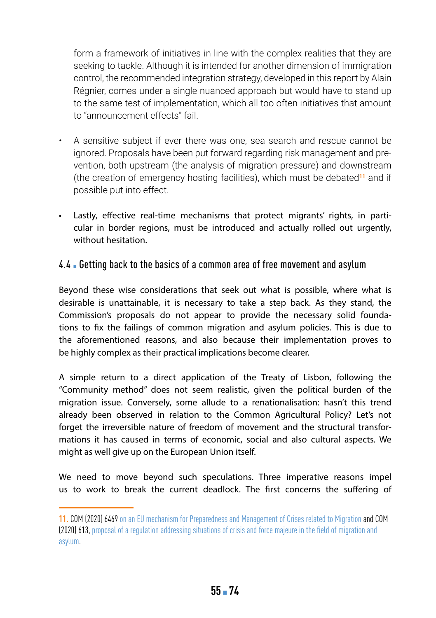form a framework of initiatives in line with the complex realities that they are seeking to tackle. Although it is intended for another dimension of immigration control, the recommended integration strategy, developed in this report by Alain Régnier, comes under a single nuanced approach but would have to stand up to the same test of implementation, which all too often initiatives that amount to "announcement effects" fail.

- A sensitive subject if ever there was one, sea search and rescue cannot be ignored. Proposals have been put forward regarding risk management and prevention, both upstream (the analysis of migration pressure) and downstream (the creation of emergency hosting facilities), which must be debated**<sup>11</sup>** and if possible put into effect.
- Lastly, effective real-time mechanisms that protect migrants' rights, in particular in border regions, must be introduced and actually rolled out urgently, without hesitation.

#### 4.4 Betting back to the basics of a common area of free movement and asylum

Beyond these wise considerations that seek out what is possible, where what is desirable is unattainable, it is necessary to take a step back. As they stand, the Commission's proposals do not appear to provide the necessary solid foundations to fix the failings of common migration and asylum policies. This is due to the aforementioned reasons, and also because their implementation proves to be highly complex as their practical implications become clearer.

A simple return to a direct application of the Treaty of Lisbon, following the "Community method" does not seem realistic, given the political burden of the migration issue. Conversely, some allude to a renationalisation: hasn't this trend already been observed in relation to the Common Agricultural Policy? Let's not forget the irreversible nature of freedom of movement and the structural transformations it has caused in terms of economic, social and also cultural aspects. We might as well give up on the European Union itself.

We need to move beyond such speculations. Three imperative reasons impel us to work to break the current deadlock. The first concerns the suffering of

**<sup>11.</sup>** COM (2020) 6469 [on an EU mechanism for Preparedness and Management of Crises related to Migration](https://ec.europa.eu/info/sites/default/files/commission_recommendation_on_an_eu_mechanism_for_preparedness_and_management_of_crises_related_to_migration_migration_preparedness_and_crisis_blueprint.pdf) and COM (2020) 613, [proposal of a regulation addressing situations of crisis and force majeure in the field of migration and](https://eur-lex.europa.eu/legal-content/EN/TXT/PDF/?uri=CELEX:52020PC0613&from=EN)  [asylum](https://eur-lex.europa.eu/legal-content/EN/TXT/PDF/?uri=CELEX:52020PC0613&from=EN).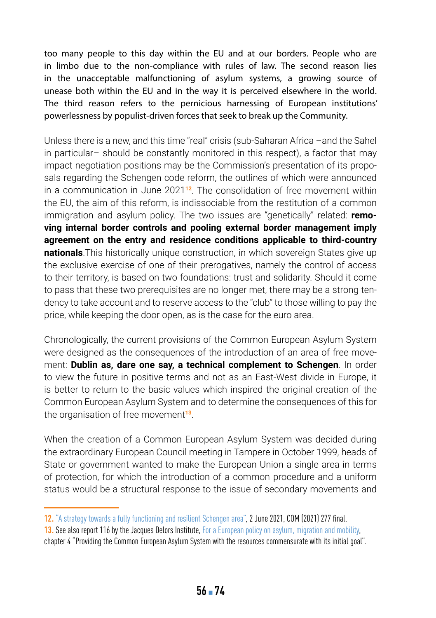too many people to this day within the EU and at our borders. People who are in limbo due to the non-compliance with rules of law. The second reason lies in the unacceptable malfunctioning of asylum systems, a growing source of unease both within the EU and in the way it is perceived elsewhere in the world. The third reason refers to the pernicious harnessing of European institutions' powerlessness by populist-driven forces that seek to break up the Community.

Unless there is a new, and this time "real" crisis (sub-Saharan Africa –and the Sahel in particular– should be constantly monitored in this respect), a factor that may impact negotiation positions may be the Commission's presentation of its proposals regarding the Schengen code reform, the outlines of which were announced in a communication in June 2021**<sup>12</sup>**. The consolidation of free movement within the EU, the aim of this reform, is indissociable from the restitution of a common immigration and asylum policy. The two issues are "genetically" related: **removing internal border controls and pooling external border management imply agreement on the entry and residence conditions applicable to third-country nationals**.This historically unique construction, in which sovereign States give up the exclusive exercise of one of their prerogatives, namely the control of access to their territory, is based on two foundations: trust and solidarity. Should it come to pass that these two prerequisites are no longer met, there may be a strong tendency to take account and to reserve access to the "club" to those willing to pay the price, while keeping the door open, as is the case for the euro area.

Chronologically, the current provisions of the Common European Asylum System were designed as the consequences of the introduction of an area of free movement: **Dublin as, dare one say, a technical complement to Schengen**. In order to view the future in positive terms and not as an East-West divide in Europe, it is better to return to the basic values which inspired the original creation of the Common European Asylum System and to determine the consequences of this for the organisation of free movement**<sup>13</sup>**.

When the creation of a Common European Asylum System was decided during the extraordinary European Council meeting in Tampere in October 1999, heads of State or government wanted to make the European Union a single area in terms of protection, for which the introduction of a common procedure and a uniform status would be a structural response to the issue of secondary movements and

**<sup>12.</sup>** ["A strategy towards a fully functioning and resilient Schengen area",](https://eur-lex.europa.eu/legal-content/EN/TXT/PDF/?uri=CELEX:52021DC0277&from=EN) 2 June 2021, COM (2021) 277 final.

**<sup>13.</sup>** See also report 116 by the Jacques Delors Institute, [For a European policy on asylum, migration and mobility](https://institutdelors.eu/en/publications/for-a-european-policy-on-asylum-migration-and-mobility/),

chapter 4 "Providing the Common European Asylum System with the resources commensurate with its initial goal".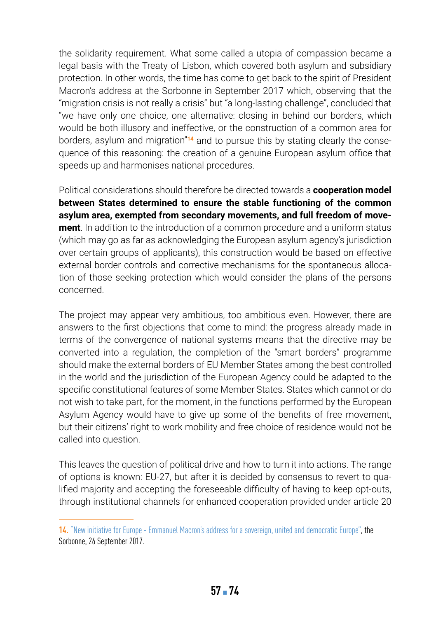the solidarity requirement. What some called a utopia of compassion became a legal basis with the Treaty of Lisbon, which covered both asylum and subsidiary protection. In other words, the time has come to get back to the spirit of President Macron's address at the Sorbonne in September 2017 which, observing that the "migration crisis is not really a crisis" but "a long-lasting challenge", concluded that "we have only one choice, one alternative: closing in behind our borders, which would be both illusory and ineffective, or the construction of a common area for borders, asylum and migration"**14** and to pursue this by stating clearly the consequence of this reasoning: the creation of a genuine European asylum office that speeds up and harmonises national procedures.

Political considerations should therefore be directed towards a **cooperation model between States determined to ensure the stable functioning of the common asylum area, exempted from secondary movements, and full freedom of movement**. In addition to the introduction of a common procedure and a uniform status (which may go as far as acknowledging the European asylum agency's jurisdiction over certain groups of applicants), this construction would be based on effective external border controls and corrective mechanisms for the spontaneous allocation of those seeking protection which would consider the plans of the persons concerned.

The project may appear very ambitious, too ambitious even. However, there are answers to the first objections that come to mind: the progress already made in terms of the convergence of national systems means that the directive may be converted into a regulation, the completion of the "smart borders" programme should make the external borders of EU Member States among the best controlled in the world and the jurisdiction of the European Agency could be adapted to the specific constitutional features of some Member States. States which cannot or do not wish to take part, for the moment, in the functions performed by the European Asylum Agency would have to give up some of the benefits of free movement, but their citizens' right to work mobility and free choice of residence would not be called into question.

This leaves the question of political drive and how to turn it into actions. The range of options is known: EU-27, but after it is decided by consensus to revert to qualified majority and accepting the foreseeable difficulty of having to keep opt-outs, through institutional channels for enhanced cooperation provided under article 20

**<sup>14.</sup>** ["New initiative for Europe - Emmanuel Macron's address for a sovereign, united and democratic Europe"](https://www.elysee.fr/en/emmanuel-macron/2017/09/26/president-macron-gives-speech-on-new-initiative-for-europe), the Sorbonne, 26 September 2017.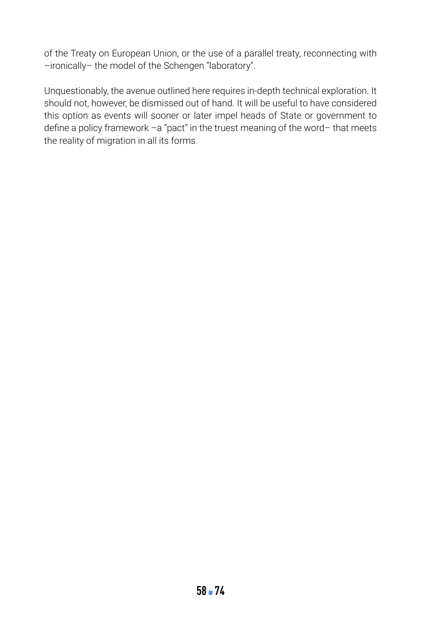of the Treaty on European Union, or the use of a parallel treaty, reconnecting with –ironically– the model of the Schengen "laboratory".

Unquestionably, the avenue outlined here requires in-depth technical exploration. It should not, however, be dismissed out of hand. It will be useful to have considered this option as events will sooner or later impel heads of State or government to define a policy framework –a "pact" in the truest meaning of the word– that meets the reality of migration in all its forms.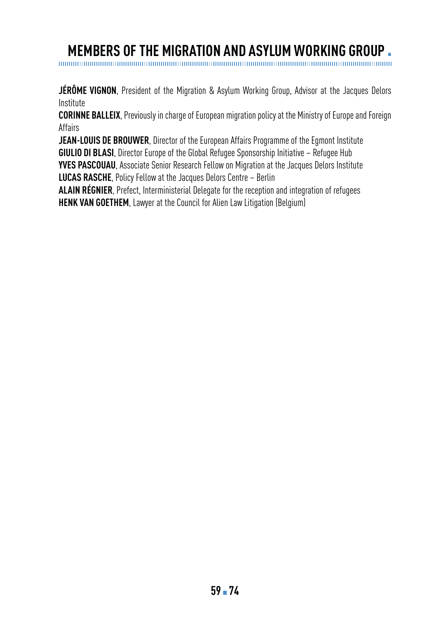# **MEMBERS OF THE MIGRATION AND ASYLUM WORKING GROUP .**

**JÉRÔME VIGNON**, President of the Migration & Asylum Working Group, Advisor at the Jacques Delors

Institute **CORINNE BALLEIX**, Previously in charge of European migration policy at the Ministry of Europe and Foreign

Affairs

**JEAN-LOUIS DE BROUWER**, Director of the European Affairs Programme of the Egmont Institute **GIULIO DI BLASI**, Director Europe of the Global Refugee Sponsorship Initiative – Refugee Hub **YVES PASCOUAU**, Associate Senior Research Fellow on Migration at the Jacques Delors Institute **LUCAS RASCHE**, Policy Fellow at the Jacques Delors Centre – Berlin

**ALAIN RÉGNIER**, Prefect, Interministerial Delegate for the reception and integration of refugees **HENK VAN GOETHEM**, Lawyer at the Council for Alien Law Litigation (Belgium)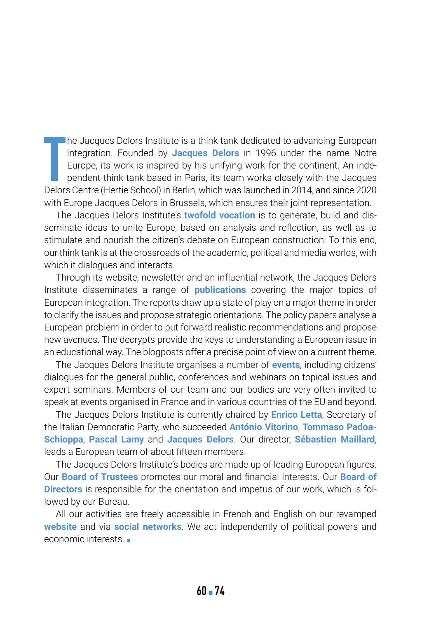**T** he Jacques Delors Institute is a think tank dedicated to advancing European integration. Founded by **Jacques Delors** in 1996 under the name Notre Europe, its work is inspired by his unifying work for the continent. An independent think tank based in Paris, its team works closely with the Jacques Delors Centre (Hertie School) in Berlin, which was launched in 2014, and since 2020 with Europe Jacques Delors in Brussels, which ensures their joint representation.

The Jacques Delors Institute's **twofold vocation** is to generate, build and disseminate ideas to unite Europe, based on analysis and reflection, as well as to stimulate and nourish the citizen's debate on European construction. To this end, our think tank is at the crossroads of the academic, political and media worlds, with which it dialogues and interacts.

Through its website, newsletter and an influential network, the Jacques Delors Institute disseminates a range of **publications** covering the major topics of European integration. The reports draw up a state of play on a major theme in order to clarify the issues and propose strategic orientations. The policy papers analyse a European problem in order to put forward realistic recommendations and propose new avenues. The decrypts provide the keys to understanding a European issue in an educational way. The blogposts offer a precise point of view on a current theme.

The Jacques Delors Institute organises a number of **events**, including citizens' dialogues for the general public, conferences and webinars on topical issues and expert seminars. Members of our team and our bodies are very often invited to speak at events organised in France and in various countries of the EU and beyond.

The Jacques Delors Institute is currently chaired by **Enrico Letta**, Secretary of the Italian Democratic Party, who succeeded **António Vitorino**, **Tommaso Padoa-Schioppa**, **Pascal Lamy** and **Jacques Delors**. Our director, **Sébastien Maillard**, leads a European team of about fifteen members.

The Jacques Delors Institute's bodies are made up of leading European figures. Our **Board of Trustees** promotes our moral and financial interests. Our **Board of Directors** is responsible for the orientation and impetus of our work, which is followed by our Bureau.

All our activities are freely accessible in French and English on our revamped **website** and via **social networks**. We act independently of political powers and economic interests  $\blacksquare$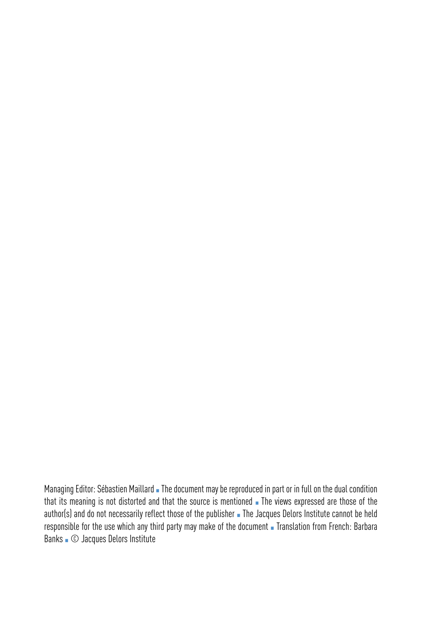Managing Editor: Sébastien Maillard • The document may be reproduced in part or in full on the dual condition that its meaning is not distorted and that the source is mentioned **The views expressed are those of the** author(s) and do not necessarily reflect those of the publisher • The Jacques Delors Institute cannot be held responsible for the use which any third party may make of the document Translation from French: Barbara Banks ▪ © Jacques Delors Institute